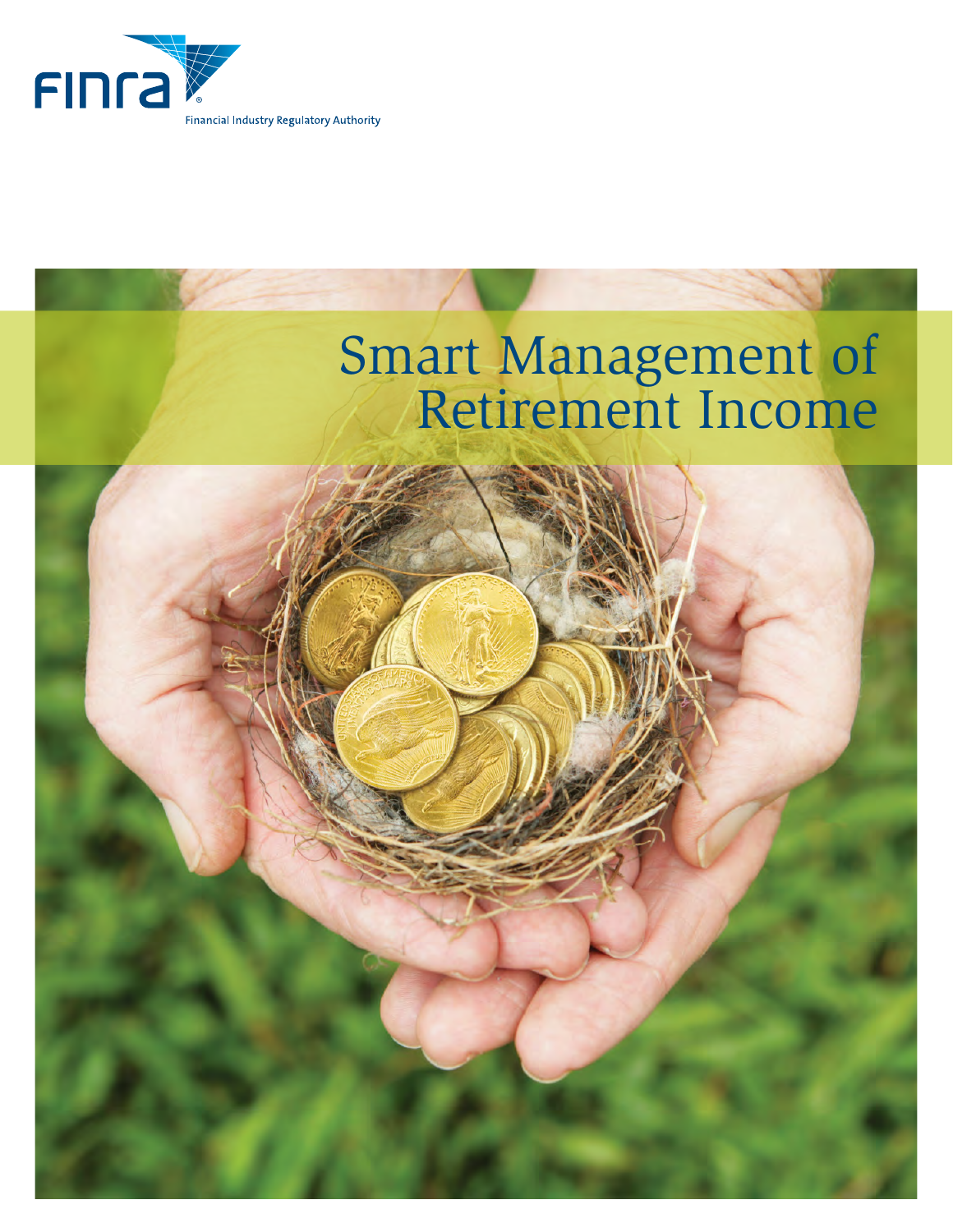

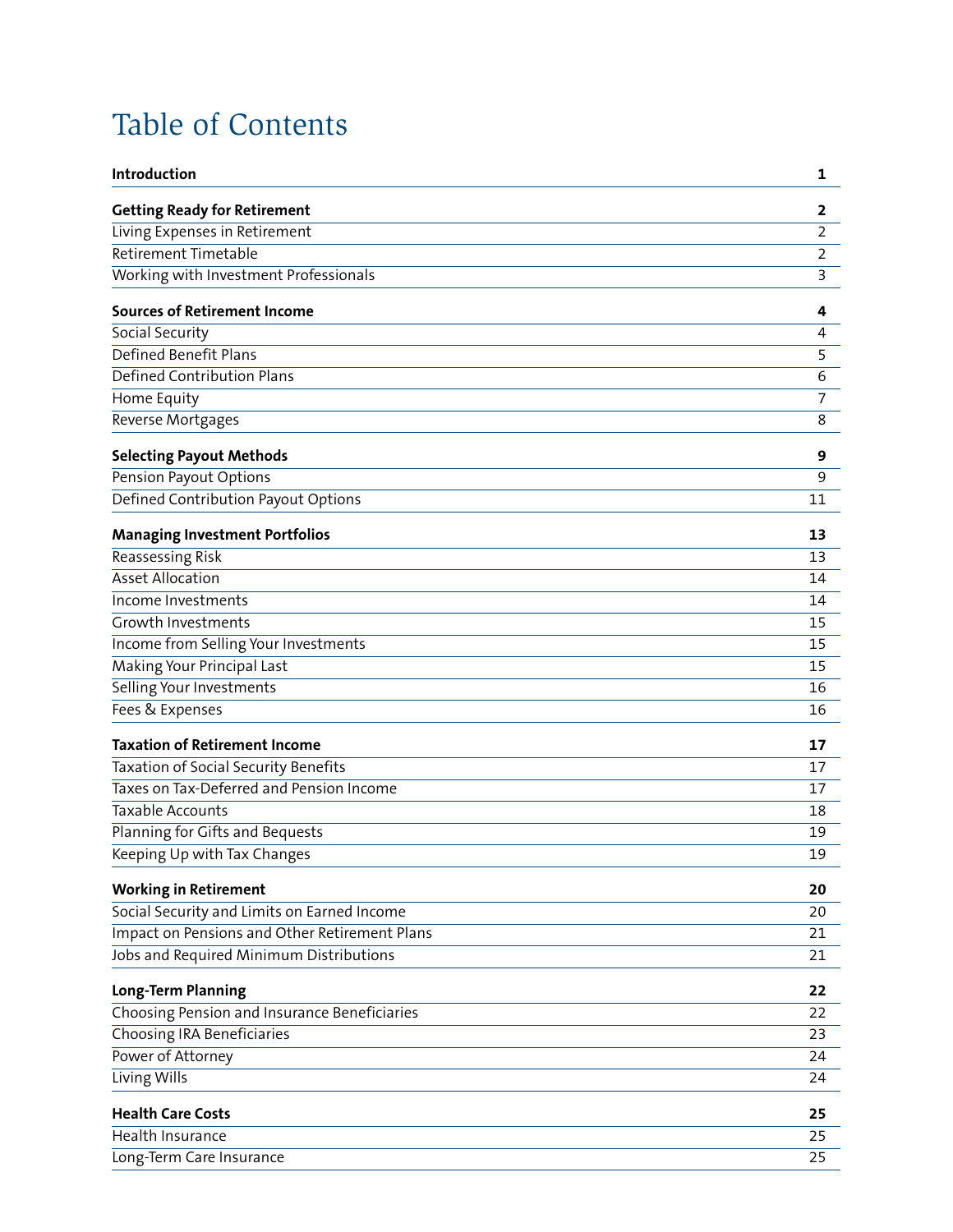# <span id="page-1-0"></span>Table of Contents

| Introduction                                  | 1              |
|-----------------------------------------------|----------------|
| <b>Getting Ready for Retirement</b>           | 2              |
| Living Expenses in Retirement                 | 2              |
| Retirement Timetable                          | $\overline{2}$ |
| Working with Investment Professionals         | $\mathsf 3$    |
| <b>Sources of Retirement Income</b>           | 4              |
| Social Security                               | $\overline{4}$ |
| Defined Benefit Plans                         | 5              |
| Defined Contribution Plans                    | 6              |
| Home Equity                                   | $\overline{7}$ |
| Reverse Mortgages                             | 8              |
| <b>Selecting Payout Methods</b>               | 9              |
| Pension Payout Options                        | 9              |
| Defined Contribution Payout Options           | 11             |
| <b>Managing Investment Portfolios</b>         | 13             |
| <b>Reassessing Risk</b>                       | 13             |
| <b>Asset Allocation</b>                       | 14             |
| Income Investments                            | 14             |
| Growth Investments                            | 15             |
| Income from Selling Your Investments          | 15             |
| Making Your Principal Last                    | 15             |
| Selling Your Investments                      | 16             |
| Fees & Expenses                               | 16             |
| <b>Taxation of Retirement Income</b>          | 17             |
| Taxation of Social Security Benefits          | 17             |
| Taxes on Tax-Deferred and Pension Income      | 17             |
| <b>Taxable Accounts</b>                       | 18             |
| Planning for Gifts and Bequests               | 19             |
| Keeping Up with Tax Changes                   | 19             |
| <b>Working in Retirement</b>                  | 20             |
| Social Security and Limits on Earned Income   | 20             |
| Impact on Pensions and Other Retirement Plans | 21             |
| Jobs and Required Minimum Distributions       | 21             |
| Long-Term Planning                            | 22             |
| Choosing Pension and Insurance Beneficiaries  | 22             |
| Choosing IRA Beneficiaries                    | 23             |
| Power of Attorney                             | 24             |
| Living Wills                                  | 24             |
| <b>Health Care Costs</b>                      | 25             |
| Health Insurance                              | 25             |
| Long-Term Care Insurance                      | 25             |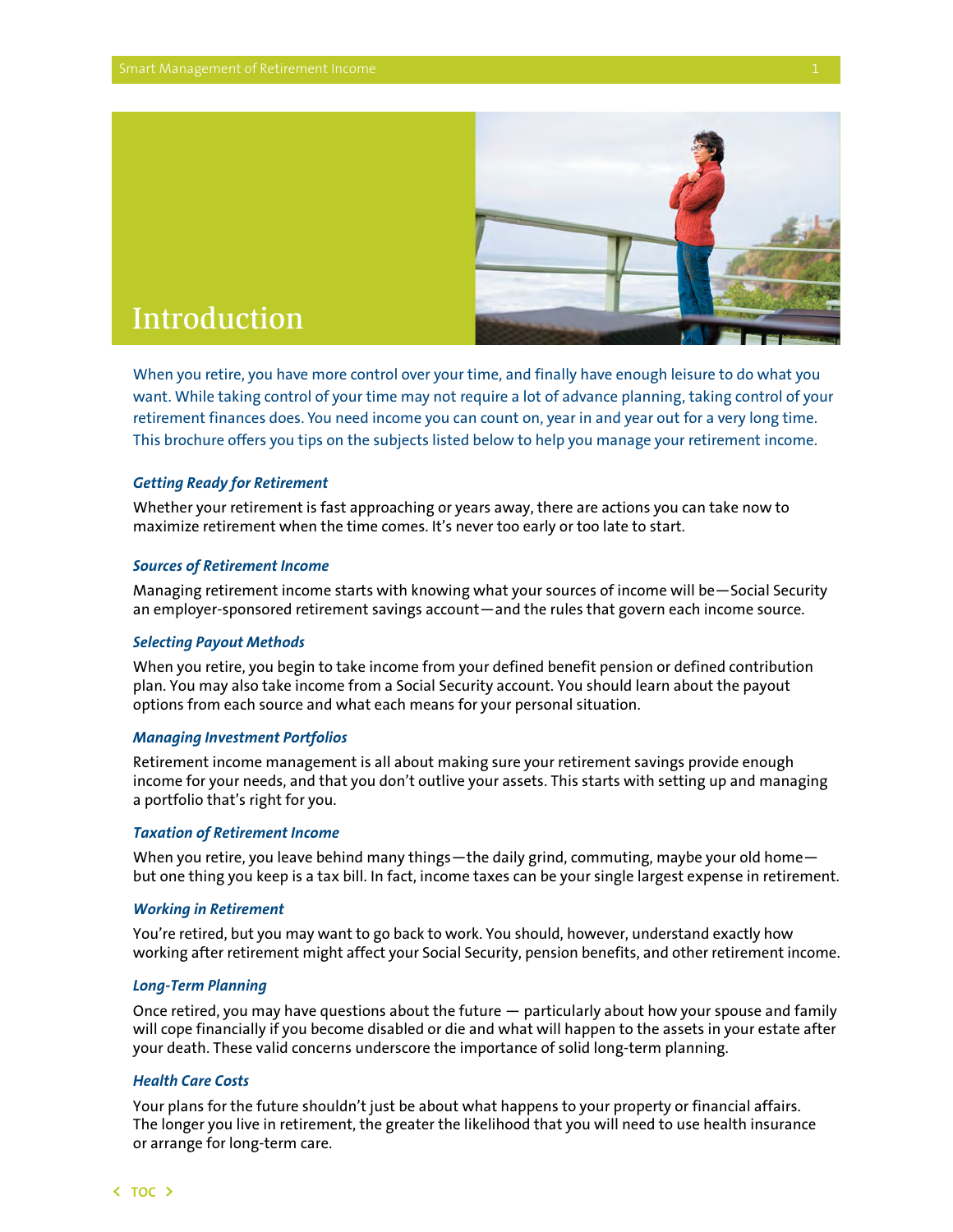

## <span id="page-2-0"></span>Introduction

When you retire, you have more control over your time, and finally have enough leisure to do what you want. While taking control of your time may not require a lot of advance planning, taking control of your retirement finances does. You need income you can count on, year in and year out for a very long time. This brochure offers you tips on the subjects listed below to help you manage your retirement income.

#### *Getting Ready for Retirement*

Whether your retirement is fast approaching or years away, there are actions you can take now to maximize retirement when the time comes. It's never too early or too late to start.

#### *Sources of Retirement Income*

Managing retirement income starts with knowing what your sources of income will be—Social Security an employer-sponsored retirement savings account—and the rules that govern each income source.

#### *Selecting Payout Methods*

When you retire, you begin to take income from your defined benefit pension or defined contribution plan. You may also take income from a Social Security account. You should learn about the payout options from each source and what each means for your personal situation.

#### *Managing Investment Portfolios*

Retirement income management is all about making sure your retirement savings provide enough income for your needs, and that you don't outlive your assets. This starts with setting up and managing a portfolio that's right for you.

#### *Taxation of Retirement Income*

When you retire, you leave behind many things—the daily grind, commuting, maybe your old home but one thing you keep is a tax bill. In fact, income taxes can be your single largest expense in retirement.

#### *Working in Retirement*

You're retired, but you may want to go back to work. You should, however, understand exactly how working after retirement might affect your Social Security, pension benefits, and other retirement income.

#### *Long-Term Planning*

Once retired, you may have questions about the future — particularly about how your spouse and family will cope financially if you become disabled or die and what will happen to the assets in your estate after your death. These valid concerns underscore the importance of solid long-term planning.

#### *Health Care Costs*

Your plans for the future shouldn't just be about what happens to your property or financial affairs. The longer you live in retirement, the greater the likelihood that you will need to use health insurance or arrange for long-term care.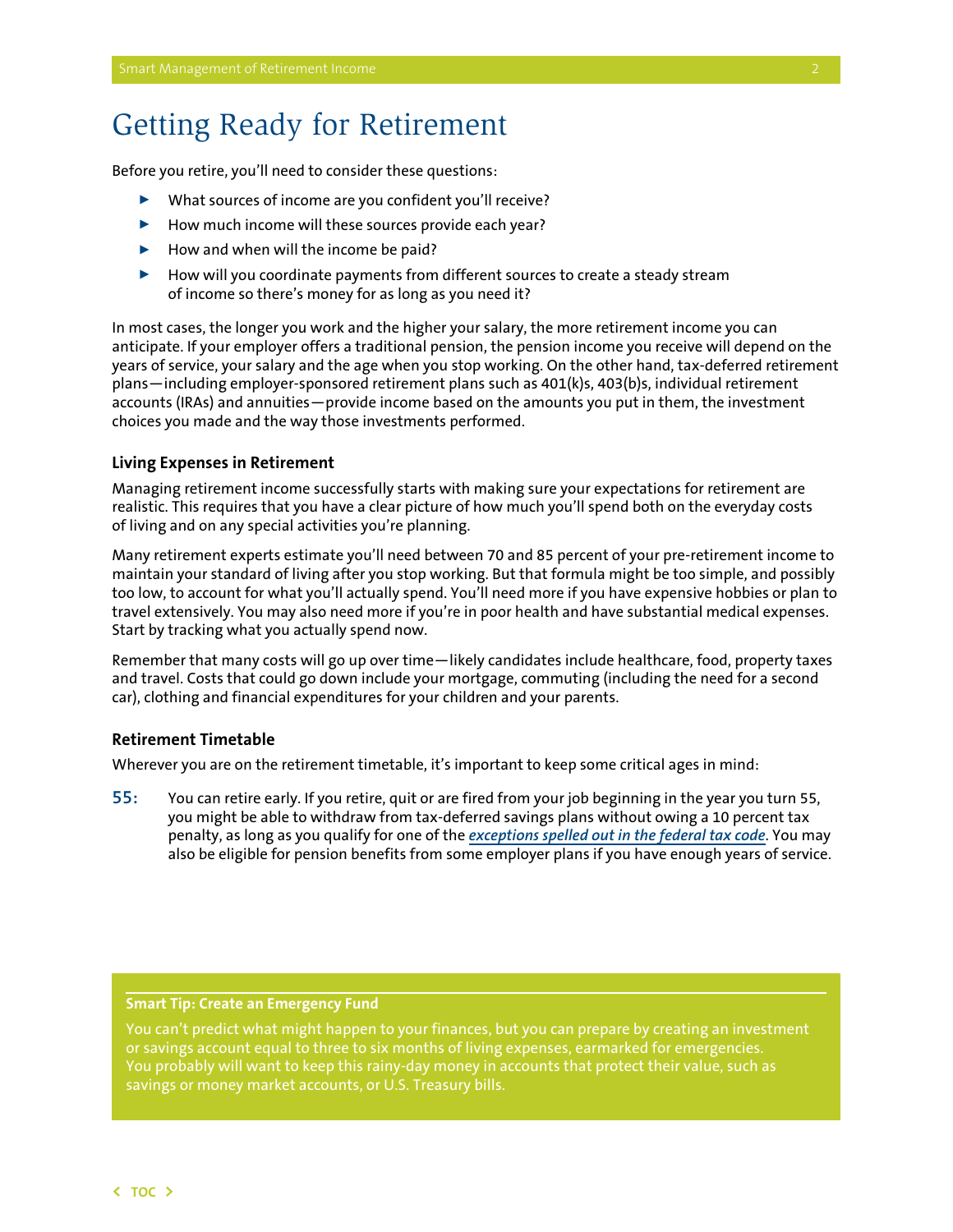## <span id="page-3-0"></span>Getting Ready for Retirement

Before you retire, you'll need to consider these questions:

- $\blacktriangleright$  What sources of income are you confident you'll receive?
- $\blacktriangleright$  How much income will these sources provide each year?
- $\blacktriangleright$  How and when will the income be paid?
- $\blacktriangleright$  How will you coordinate payments from different sources to create a steady stream of income so there's money for as long as you need it?

In most cases, the longer you work and the higher your salary, the more retirement income you can anticipate. If your employer offers a traditional pension, the pension income you receive will depend on the years of service, your salary and the age when you stop working. On the other hand, tax-deferred retirement plans—including employer-sponsored retirement plans such as 401(k)s, 403(b)s, individual retirement accounts (IRAs) and annuities—provide income based on the amounts you put in them, the investment choices you made and the way those investments performed.

#### **Living Expenses in Retirement**

Managing retirement income successfully starts with making sure your expectations for retirement are realistic. This requires that you have a clear picture of how much you'll spend both on the everyday costs of living and on any special activities you're planning.

Many retirement experts estimate you'll need between 70 and 85 percent of your pre-retirement income to maintain your standard of living after you stop working. But that formula might be too simple, and possibly too low, to account for what you'll actually spend. You'll need more if you have expensive hobbies or plan to travel extensively. You may also need more if you're in poor health and have substantial medical expenses. Start by tracking what you actually spend now.

Remember that many costs will go up over time—likely candidates include healthcare, food, property taxes and travel. Costs that could go down include your mortgage, commuting (including the need for a second car), clothing and financial expenditures for your children and your parents.

#### **Retirement Timetable**

Wherever you are on the retirement timetable, it's important to keep some critical ages in mind:

**55:** You can retire early. If you retire, quit or are fired from your job beginning in the year you turn 55, you might be able to withdraw from tax-deferred savings plans without owing a 10 percent tax penalty, as long as you qualify for one of the *[exceptions spelled out in the federal tax code](http://www.irs.gov/pub/irs-pdf/p575.pdf)*. You may also be eligible for pension benefits from some employer plans if you have enough years of service.

#### **Smart Tip: Create an Emergency Fund**

You can't predict what might happen to your finances, but you can prepare by creating an investment or savings account equal to three to six months of living expenses, earmarked for emergencies. savings or money market accounts, or U.S. Treasury bills.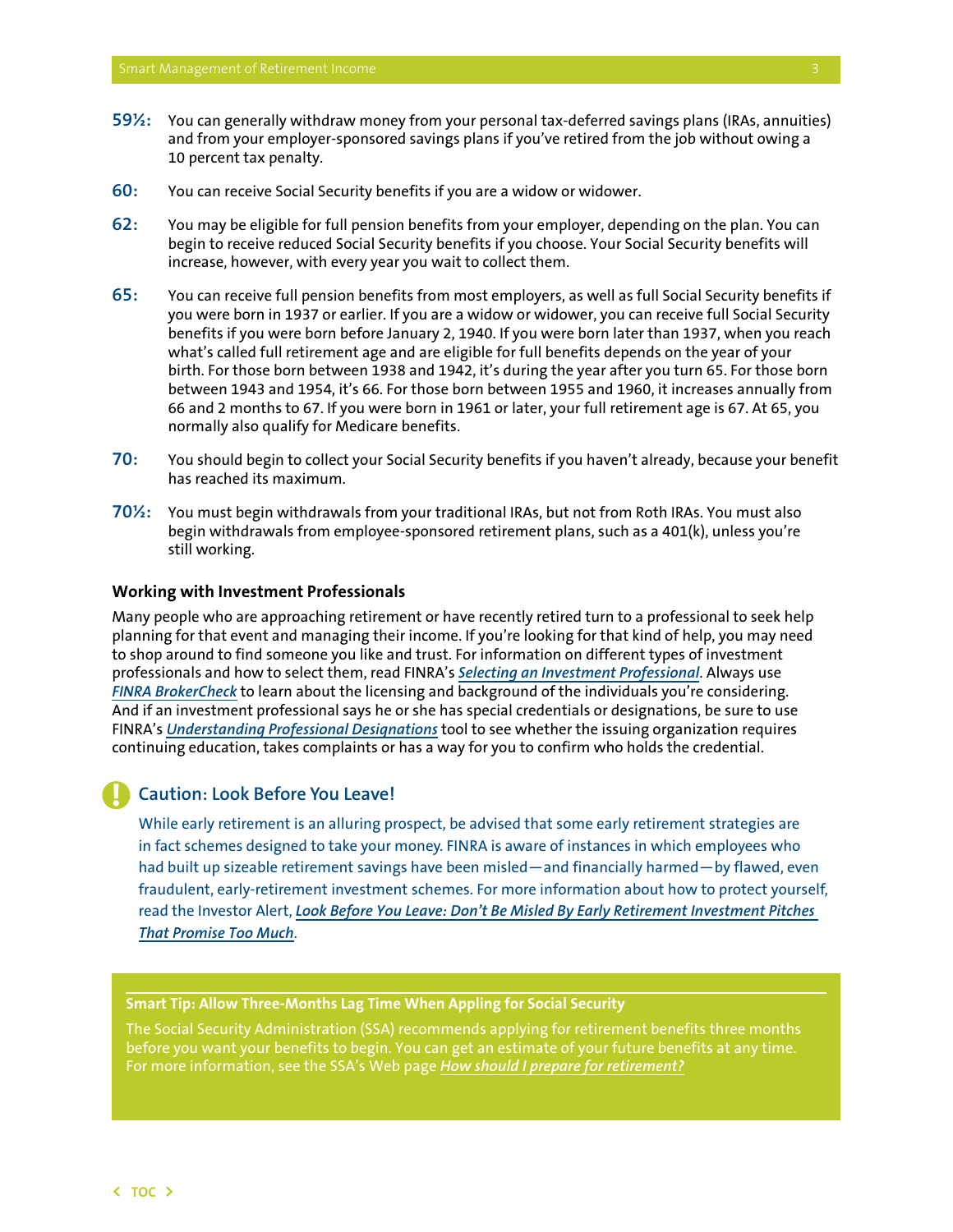- <span id="page-4-0"></span>**59½:** You can generally withdraw money from your personal tax-deferred savings plans (IRAs, annuities) and from your employer-sponsored savings plans if you've retired from the job without owing a 10 percent tax penalty.
- **60:** You can receive Social Security benefits if you are a widow or widower.
- **62:** You may be eligible for full pension benefits from your employer, depending on the plan. You can begin to receive reduced Social Security benefits if you choose. Your Social Security benefits will increase, however, with every year you wait to collect them.
- **65:** You can receive full pension benefits from most employers, as well as full Social Security benefits if you were born in 1937 or earlier. If you are a widow or widower, you can receive full Social Security benefits if you were born before January 2, 1940. If you were born later than 1937, when you reach what's called full retirement age and are eligible for full benefits depends on the year of your birth. For those born between 1938 and 1942, it's during the year after you turn 65. For those born between 1943 and 1954, it's 66. For those born between 1955 and 1960, it increases annually from 66 and 2 months to 67. If you were born in 1961 or later, your full retirement age is 67. At 65, you normally also qualify for Medicare benefits.
- **70:** You should begin to collect your Social Security benefits if you haven't already, because your benefit has reached its maximum.
- **70½:** You must begin withdrawals from your traditional IRAs, but not from Roth IRAs. You must also begin withdrawals from employee-sponsored retirement plans, such as a 401(k), unless you're still working.

#### **Working with Investment Professionals**

Many people who are approaching retirement or have recently retired turn to a professional to seek help planning for that event and managing their income. If you're looking for that kind of help, you may need to shop around to find someone you like and trust. For information on different types of investment professionals and how to select them, read FINRA's *[Selecting an Investment Professional](http://www.finra.org/investors/smartinvesting/gettingstarted/selectinginvestmentprofessional/)*. Always use *[FINRA BrokerCheck](http://www.finra.org/brokercheck)* to learn about the licensing and background of the individuals you're considering. And if an investment professional says he or she has special credentials or designations, be sure to use FINRA's *[Understanding Professional Designations](http://www.finra.org/Investors/ToolsCalculators/ProfessionalDesignations/DesignationsLookup/)* tool to see whether the issuing organization requires continuing education, takes complaints or has a way for you to confirm who holds the credential.

### **Caution: Look Before You Leave!**

While early retirement is an alluring prospect, be advised that some early retirement strategies are in fact schemes designed to take your money. FINRA is aware of instances in which employees who had built up sizeable retirement savings have been misled—and financially harmed—by flawed, even fraudulent, early-retirement investment schemes. For more information about how to protect yourself, read the Investor Alert, *[Look Before You Leave: Don't Be Misled By Early Retirement Investment Pitches](http://www.finra.org/Investors/ProtectYourself/InvestorAlerts/RetirementAccounts/P017365)  [That Promise Too Much](http://www.finra.org/Investors/ProtectYourself/InvestorAlerts/RetirementAccounts/P017365)*.

#### **Smart Tip: Allow Three-Months Lag Time When Appling for Social Security**

The Social Security Administration (SSA) recommends applying for retirement benefits three months before you want your benefits to begin. You can get an estimate of your future benefits at any time. For more information, see the SSA's Web page *[How should I prepare for retirement?](http://www.ssa.gov/retirement/)*

**!**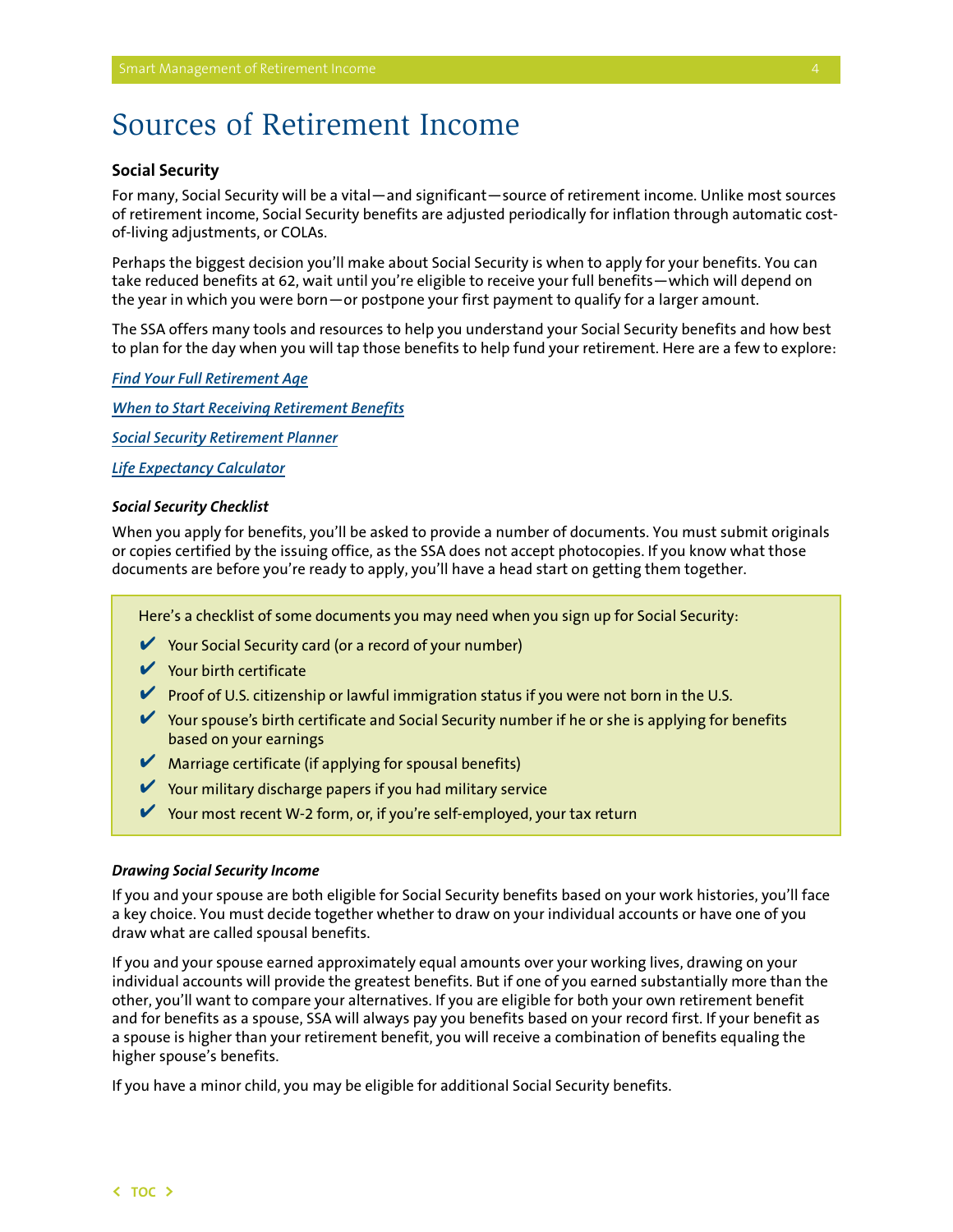## <span id="page-5-0"></span>Sources of Retirement Income

## **Social Security**

For many, Social Security will be a vital—and significant—source of retirement income. Unlike most sources of retirement income, Social Security benefits are adjusted periodically for inflation through automatic costof-living adjustments, or COLAs.

Perhaps the biggest decision you'll make about Social Security is when to apply for your benefits. You can take reduced benefits at 62, wait until you're eligible to receive your full benefits—which will depend on the year in which you were born—or postpone your first payment to qualify for a larger amount.

The SSA offers many tools and resources to help you understand your Social Security benefits and how best to plan for the day when you will tap those benefits to help fund your retirement. Here are a few to explore:

#### *[Find Your Full Retirement Age](http://www.ssa.gov/pubs/ageincrease.htm)*

*[When to Start Receiving Retirement Benefits](http://www.ssa.gov/pubs/10147.html)*

*[Social Security Retirement Planner](http://www.ssa.gov/retire2/applying2.htm)*

*[Life Expectancy Calculator](http://www.ssa.gov/planners/lifeexpectancy.htm)*

#### *Social Security Checklist*

When you apply for benefits, you'll be asked to provide a number of documents. You must submit originals or copies certified by the issuing office, as the SSA does not accept photocopies. If you know what those documents are before you're ready to apply, you'll have a head start on getting them together.

Here's a checklist of some documents you may need when you sign up for Social Security:

- $\triangleright$  Your Social Security card (or a record of your number)
- $\vee$  Your birth certificate
- **Proof of U.S. citizenship or lawful immigration status if you were not born in the U.S.**
- $\triangledown$  Your spouse's birth certificate and Social Security number if he or she is applying for benefits based on your earnings
- $\blacktriangleright$  Marriage certificate (if applying for spousal benefits)
- $\blacktriangleright$  Your military discharge papers if you had military service
- ✔ Your most recent W-2 form, or, if you're self-employed, your tax return

#### *Drawing Social Security Income*

If you and your spouse are both eligible for Social Security benefits based on your work histories, you'll face a key choice. You must decide together whether to draw on your individual accounts or have one of you draw what are called spousal benefits.

If you and your spouse earned approximately equal amounts over your working lives, drawing on your individual accounts will provide the greatest benefits. But if one of you earned substantially more than the other, you'll want to compare your alternatives. If you are eligible for both your own retirement benefit and for benefits as a spouse, SSA will always pay you benefits based on your record first. If your benefit as a spouse is higher than your retirement benefit, you will receive a combination of benefits equaling the higher spouse's benefits.

If you have a minor child, you may be eligible for additional Social Security benefits.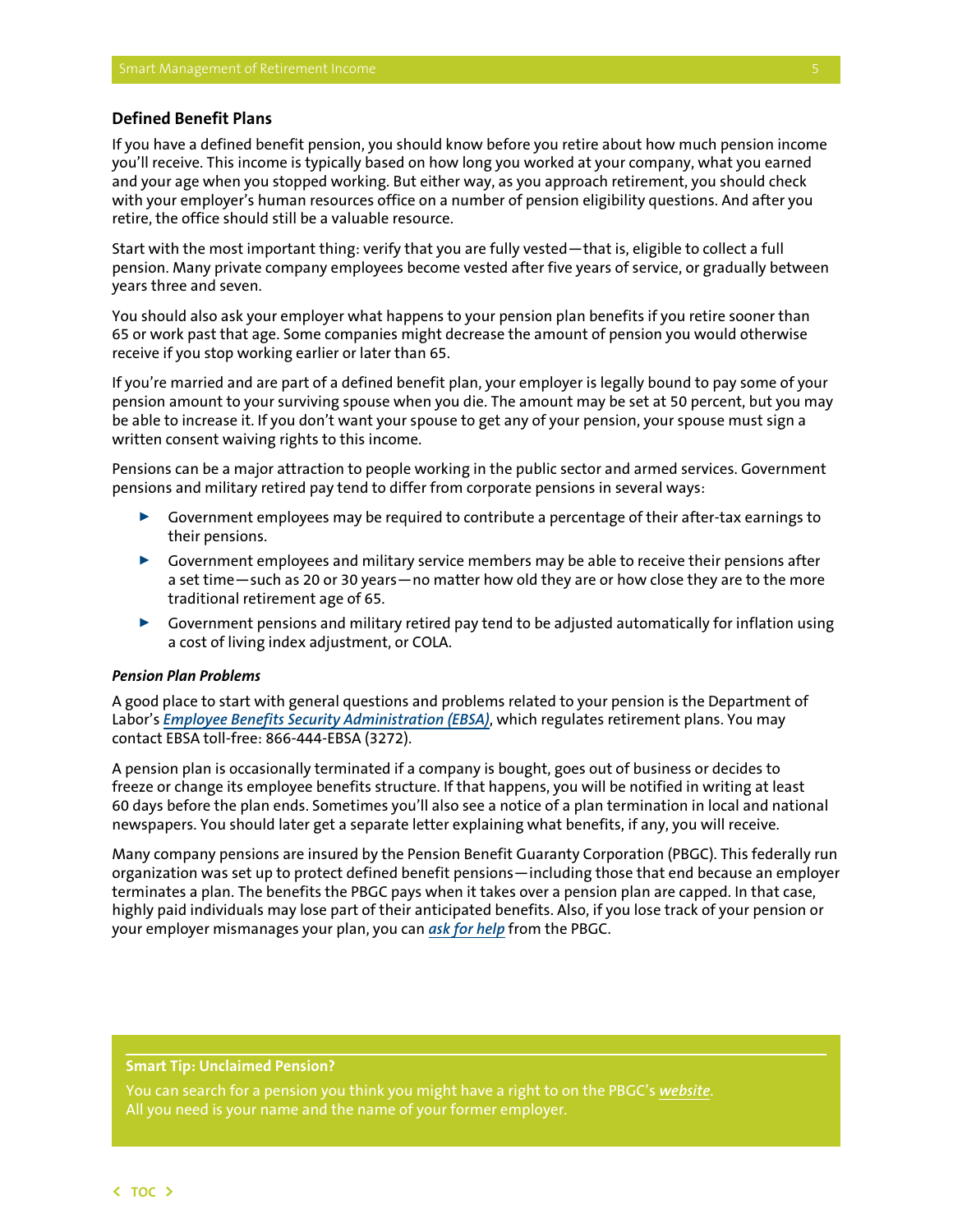### <span id="page-6-0"></span>**Defined Benefit Plans**

If you have a defined benefit pension, you should know before you retire about how much pension income you'll receive. This income is typically based on how long you worked at your company, what you earned and your age when you stopped working. But either way, as you approach retirement, you should check with your employer's human resources office on a number of pension eligibility questions. And after you retire, the office should still be a valuable resource.

Start with the most important thing: verify that you are fully vested—that is, eligible to collect a full pension. Many private company employees become vested after five years of service, or gradually between years three and seven.

You should also ask your employer what happens to your pension plan benefits if you retire sooner than 65 or work past that age. Some companies might decrease the amount of pension you would otherwise receive if you stop working earlier or later than 65.

If you're married and are part of a defined benefit plan, your employer is legally bound to pay some of your pension amount to your surviving spouse when you die. The amount may be set at 50 percent, but you may be able to increase it. If you don't want your spouse to get any of your pension, your spouse must sign a written consent waiving rights to this income.

Pensions can be a major attraction to people working in the public sector and armed services. Government pensions and military retired pay tend to differ from corporate pensions in several ways:

- $\triangleright$  Government employees may be required to contribute a percentage of their after-tax earnings to their pensions.
- $\triangleright$  Government employees and military service members may be able to receive their pensions after a set time—such as 20 or 30 years—no matter how old they are or how close they are to the more traditional retirement age of 65.
- $\triangleright$  Government pensions and military retired pay tend to be adjusted automatically for inflation using a cost of living index adjustment, or COLA.

#### *Pension Plan Problems*

A good place to start with general questions and problems related to your pension is the Department of Labor's *[Employee Benefits Security Administration \(EBSA\)](http://www.dol.gov/ebsa/)*, which regulates retirement plans. You may contact EBSA toll-free: 866-444-EBSA (3272).

A pension plan is occasionally terminated if a company is bought, goes out of business or decides to freeze or change its employee benefits structure. If that happens, you will be notified in writing at least 60 days before the plan ends. Sometimes you'll also see a notice of a plan termination in local and national newspapers. You should later get a separate letter explaining what benefits, if any, you will receive.

Many company pensions are insured by the Pension Benefit Guaranty Corporation (PBGC). This federally run organization was set up to protect defined benefit pensions—including those that end because an employer terminates a plan. The benefits the PBGC pays when it takes over a pension plan are capped. In that case, highly paid individuals may lose part of their anticipated benefits. Also, if you lose track of your pension or your employer mismanages your plan, you can *[ask for help](http://www.pbgc.gov/about/pg/contact/contact-wr.html)* from the PBGC.

### **Smart Tip: Unclaimed Pension?**

You can search for a pension you think you might have a right to on the PBGC's *[website](http://search.pbgc.gov/mp/mp.aspx)*. All you need is your name and the name of your former employer.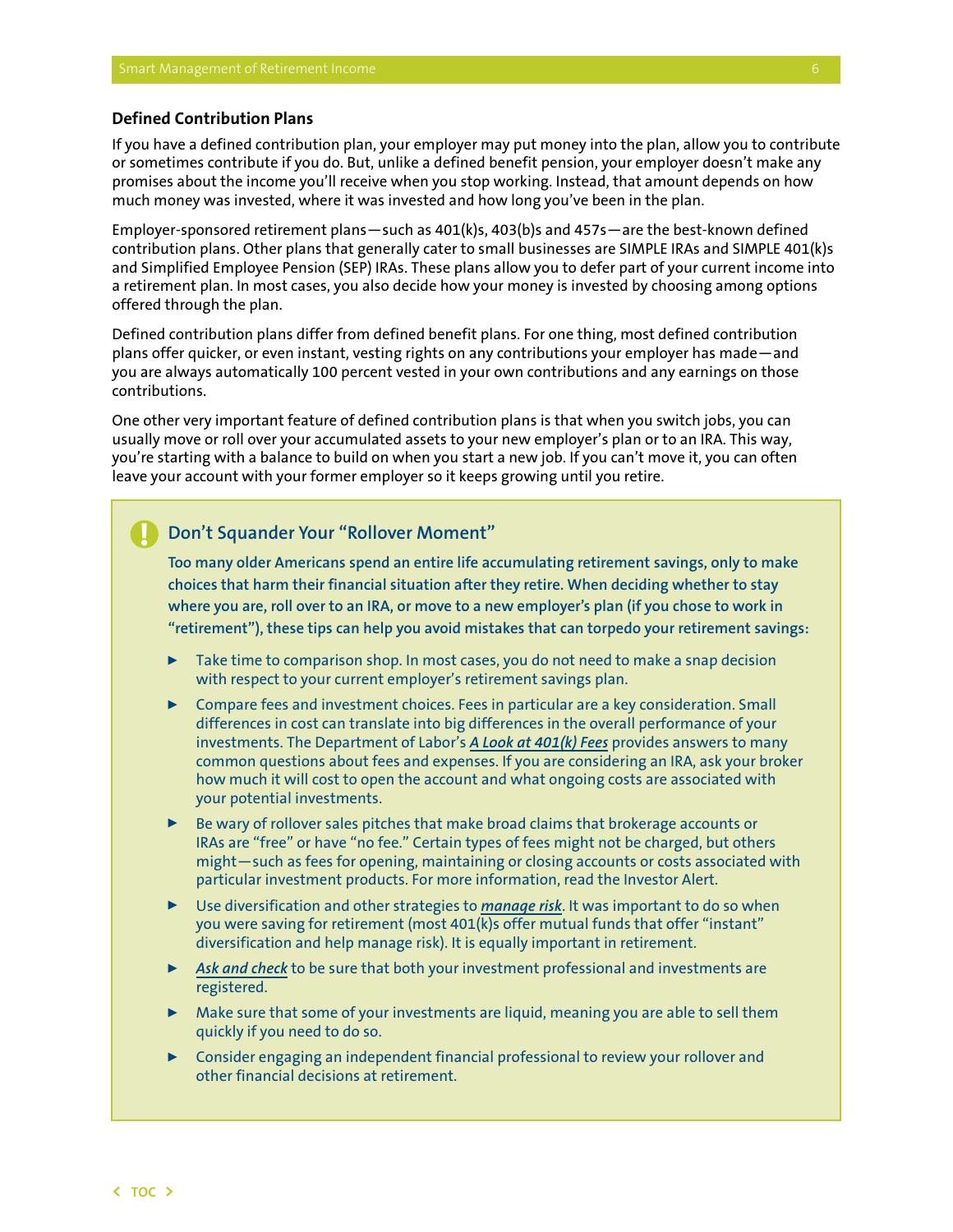### <span id="page-7-0"></span>**Defined Contribution Plans**

If you have a defined contribution plan, your employer may put money into the plan, allow you to contribute or sometimes contribute if you do. But, unlike a defined benefit pension, your employer doesn't make any promises about the income you'll receive when you stop working. Instead, that amount depends on how much money was invested, where it was invested and how long you've been in the plan.

Employer-sponsored retirement plans—such as 401(k)s, 403(b)s and 457s—are the best-known defined contribution plans. Other plans that generally cater to small businesses are SIMPLE IRAs and SIMPLE 401(k)s and Simplified Employee Pension (SEP) IRAs. These plans allow you to defer part of your current income into a retirement plan. In most cases, you also decide how your money is invested by choosing among options offered through the plan.

Defined contribution plans differ from defined benefit plans. For one thing, most defined contribution plans offer quicker, or even instant, vesting rights on any contributions your employer has made—and you are always automatically 100 percent vested in your own contributions and any earnings on those contributions.

One other very important feature of defined contribution plans is that when you switch jobs, you can usually move or roll over your accumulated assets to your new employer's plan or to an IRA. This way, you're starting with a balance to build on when you start a new job. If you can't move it, you can often leave your account with your former employer so it keeps growing until you retire.

#### **Don't Squander Your "Rollover Moment" !**

**Too many older Americans spend an entire life accumulating retirement savings, only to make choices that harm their financial situation after they retire. When deciding whether to stay where you are, roll over to an IRA, or move to a new employer's plan (if you chose to work in "retirement"), these tips can help you avoid mistakes that can torpedo your retirement savings:**

- $\triangleright$  Take time to comparison shop. In most cases, you do not need to make a snap decision with respect to your current employer's retirement savings plan.
- $\triangleright$  Compare fees and investment choices. Fees in particular are a key consideration. Small differences in cost can translate into big differences in the overall performance of your investments. The Department of Labor's *[A Look at 401\(k\) Fees](http://www.dol.gov/ebsa/publications/401k_employee.html)* provides answers to many common questions about fees and expenses. If you are considering an IRA, ask your broker how much it will cost to open the account and what ongoing costs are associated with your potential investments.
- $\triangleright$  Be wary of rollover sales pitches that make broad claims that brokerage accounts or IRAs are "free" or have "no fee." Certain types of fees might not be charged, but others might—such as fees for opening, maintaining or closing accounts or costs associated with particular investment products. For more information, read the Investor Alert.
- **Dispute 100 Use diversification and other strategies to** *[manage risk](http://www.finra.org/Investors/SmartInvesting/AdvancedInvesting/ManagingInvestmentRisk/)***. It was important to do so when** you were saving for retirement (most 401(k)s offer mutual funds that offer "instant" diversification and help manage risk). It is equally important in retirement.
- <sup>00</sup> *[Ask and check](http://www.saveandinvest.org/ProtectYourMoney/AskandCheck/)* to be sure that both your investment professional and investments are registered.
- $\triangleright$  Make sure that some of your investments are liquid, meaning you are able to sell them quickly if you need to do so.
- $\triangleright$  Consider engaging an independent financial professional to review your rollover and other financial decisions at retirement.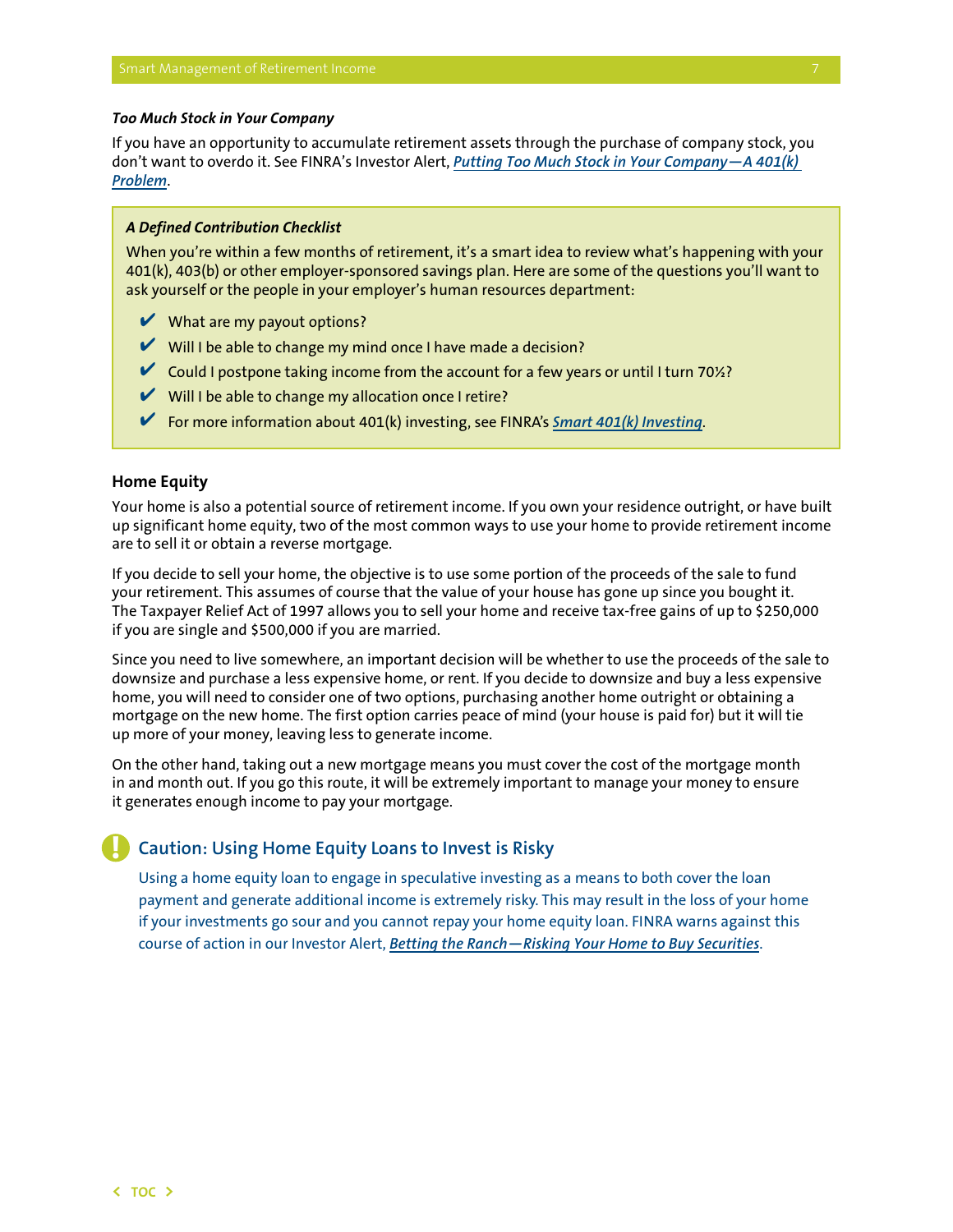#### <span id="page-8-0"></span>*Too Much Stock in Your Company*

If you have an opportunity to accumulate retirement assets through the purchase of company stock, you don't want to overdo it. See FINRA's Investor Alert, *[Putting Too Much Stock in Your Company—A 401\(k\)](http://www.finra.org/InvestorInformation/InvestorAlerts/RetirementAccounts/PuttingTooMuchStockinYourCompany-A401(k)Problem/p013381)  [Problem](http://www.finra.org/InvestorInformation/InvestorAlerts/RetirementAccounts/PuttingTooMuchStockinYourCompany-A401(k)Problem/p013381)*.

#### *A Defined Contribution Checklist*

When you're within a few months of retirement, it's a smart idea to review what's happening with your 401(k), 403(b) or other employer-sponsored savings plan. Here are some of the questions you'll want to ask yourself or the people in your employer's human resources department:

- $\nu$  What are my payout options?
- $\vee$  Will I be able to change my mind once I have made a decision?
- $\blacktriangleright$  Could I postpone taking income from the account for a few years or until I turn 70%?
- $\vee$  Will I be able to change my allocation once I retire?
- ✔ For more information about 401(k) investing, see FINRA's *[Smart 401\(k\) Investing](http://www.finra.org/Investors/SmartInvesting/Retirement/Smart401kInvesting/Introduction/)*.

#### **Home Equity**

Your home is also a potential source of retirement income. If you own your residence outright, or have built up significant home equity, two of the most common ways to use your home to provide retirement income are to sell it or obtain a reverse mortgage.

If you decide to sell your home, the objective is to use some portion of the proceeds of the sale to fund your retirement. This assumes of course that the value of your house has gone up since you bought it. The Taxpayer Relief Act of 1997 allows you to sell your home and receive tax-free gains of up to \$250,000 if you are single and \$500,000 if you are married.

Since you need to live somewhere, an important decision will be whether to use the proceeds of the sale to downsize and purchase a less expensive home, or rent. If you decide to downsize and buy a less expensive home, you will need to consider one of two options, purchasing another home outright or obtaining a mortgage on the new home. The first option carries peace of mind (your house is paid for) but it will tie up more of your money, leaving less to generate income.

On the other hand, taking out a new mortgage means you must cover the cost of the mortgage month in and month out. If you go this route, it will be extremely important to manage your money to ensure it generates enough income to pay your mortgage.

## **Caution: Using Home Equity Loans to Invest is Risky**

Using a home equity loan to engage in speculative investing as a means to both cover the loan payment and generate additional income is extremely risky. This may result in the loss of your home if your investments go sour and you cannot repay your home equity loan. FINRA warns against this course of action in our Investor Alert, *[Betting the Ranch—Risking Your Home to Buy Securities](http://www.finra.org/InvestorInformation/InvestorAlerts/MarginandBorrowing/BettingtheRanchRiskingYourHometoBuySecurities/p005961)*.

**!**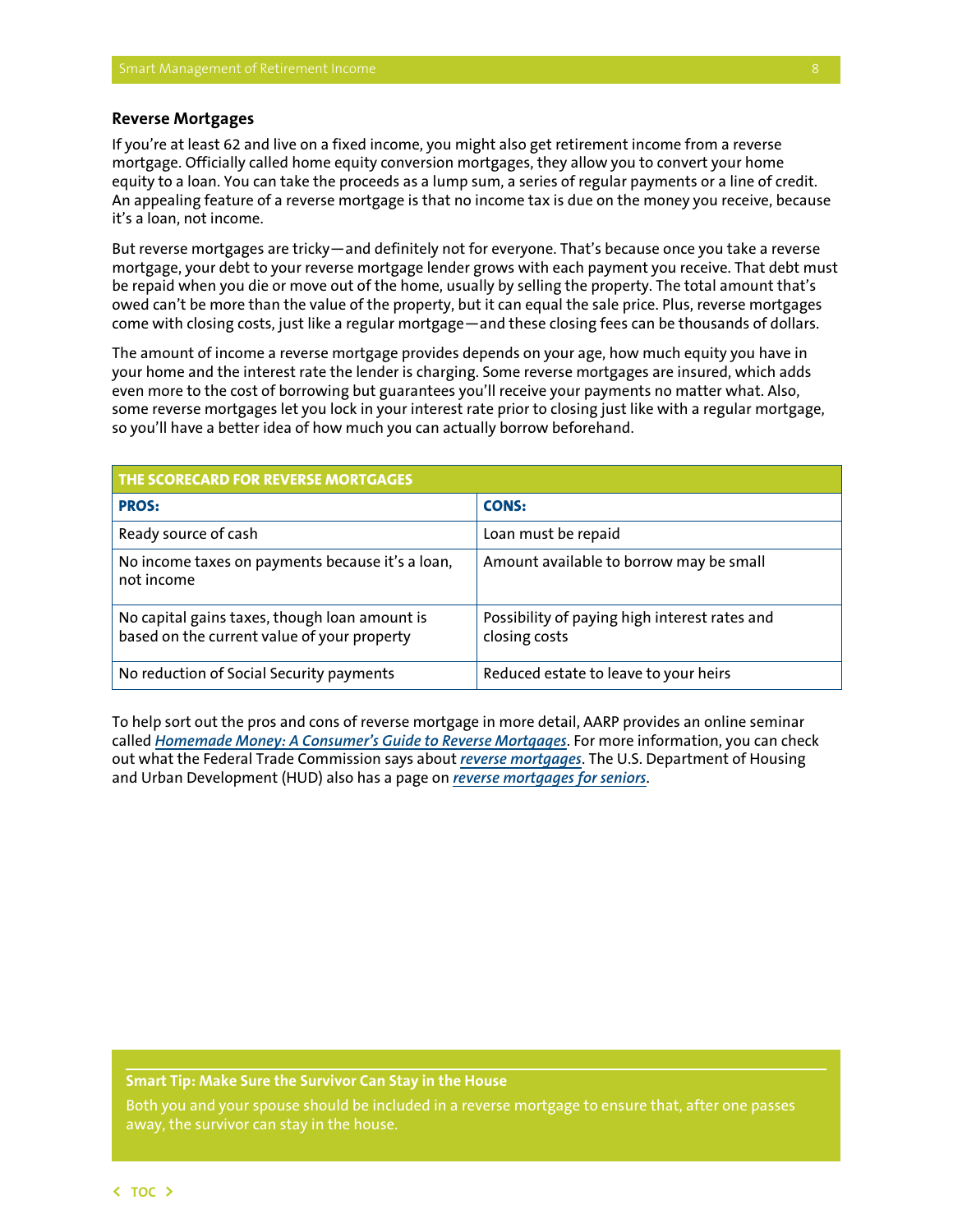#### <span id="page-9-0"></span>**Reverse Mortgages**

If you're at least 62 and live on a fixed income, you might also get retirement income from a reverse mortgage. Officially called home equity conversion mortgages, they allow you to convert your home equity to a loan. You can take the proceeds as a lump sum, a series of regular payments or a line of credit. An appealing feature of a reverse mortgage is that no income tax is due on the money you receive, because it's a loan, not income.

But reverse mortgages are tricky—and definitely not for everyone. That's because once you take a reverse mortgage, your debt to your reverse mortgage lender grows with each payment you receive. That debt must be repaid when you die or move out of the home, usually by selling the property. The total amount that's owed can't be more than the value of the property, but it can equal the sale price. Plus, reverse mortgages come with closing costs, just like a regular mortgage—and these closing fees can be thousands of dollars.

The amount of income a reverse mortgage provides depends on your age, how much equity you have in your home and the interest rate the lender is charging. Some reverse mortgages are insured, which adds even more to the cost of borrowing but guarantees you'll receive your payments no matter what. Also, some reverse mortgages let you lock in your interest rate prior to closing just like with a regular mortgage, so you'll have a better idea of how much you can actually borrow beforehand.

| THE SCORECARD FOR REVERSE MORTGAGES                                                          |                                                                |  |
|----------------------------------------------------------------------------------------------|----------------------------------------------------------------|--|
| <b>PROS:</b>                                                                                 | <b>CONS:</b>                                                   |  |
| Ready source of cash                                                                         | Loan must be repaid                                            |  |
| No income taxes on payments because it's a loan,<br>not income                               | Amount available to borrow may be small                        |  |
| No capital gains taxes, though loan amount is<br>based on the current value of your property | Possibility of paying high interest rates and<br>closing costs |  |
| No reduction of Social Security payments                                                     | Reduced estate to leave to your heirs                          |  |

To help sort out the pros and cons of reverse mortgage in more detail, AARP provides an online seminar called *[Homemade Money: A Consumer's Guide to Reverse Mortgages](http://assets.aarp.org/www.aarp.org_/articles/revmort/homeMadeMoney.pdf)*. For more information, you can check out what the Federal Trade Commission says about *[reverse mortgages](http://www.consumer.ftc.gov/articles/0192-reverse-mortgages)*. The U.S. Department of Housing and Urban Development (HUD) also has a page on *[reverse mortgages for seniors](http://portal.hud.gov/hudportal/HUD?src=/program_offices/housing/sfh/hecm/hecmhome)*.

**Smart Tip: Make Sure the Survivor Can Stay in the House**

Both you and your spouse should be included in a reverse mortgage to ensure that, after one passes away, the survivor can stay in the house.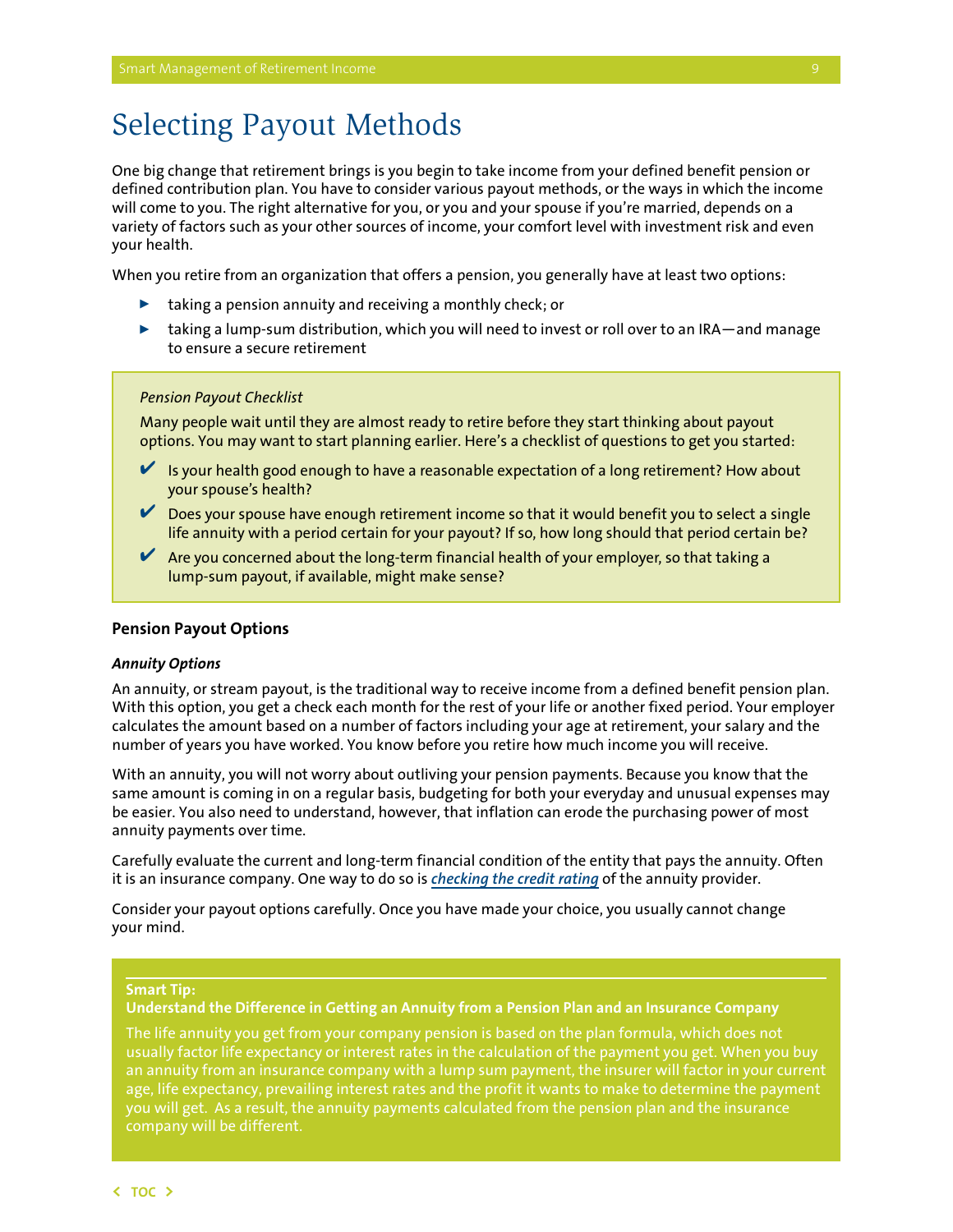## <span id="page-10-0"></span>Selecting Payout Methods

One big change that retirement brings is you begin to take income from your defined benefit pension or defined contribution plan. You have to consider various payout methods, or the ways in which the income will come to you. The right alternative for you, or you and your spouse if you're married, depends on a variety of factors such as your other sources of income, your comfort level with investment risk and even your health.

When you retire from an organization that offers a pension, you generally have at least two options:

- $\blacktriangleright$  taking a pension annuity and receiving a monthly check; or
- $\blacktriangleright$  taking a lump-sum distribution, which you will need to invest or roll over to an IRA—and manage to ensure a secure retirement

#### *Pension Payout Checklist*

Many people wait until they are almost ready to retire before they start thinking about payout options. You may want to start planning earlier. Here's a checklist of questions to get you started:

- $\blacktriangleright$  Is your health good enough to have a reasonable expectation of a long retirement? How about your spouse's health?
- ✔ Does your spouse have enough retirement income so that it would benefit you to select a single life annuity with a period certain for your payout? If so, how long should that period certain be?
- $\blacktriangleright$  Are you concerned about the long-term financial health of your employer, so that taking a lump-sum payout, if available, might make sense?

#### **Pension Payout Options**

#### *Annuity Options*

An annuity, or stream payout, is the traditional way to receive income from a defined benefit pension plan. With this option, you get a check each month for the rest of your life or another fixed period. Your employer calculates the amount based on a number of factors including your age at retirement, your salary and the number of years you have worked. You know before you retire how much income you will receive.

With an annuity, you will not worry about outliving your pension payments. Because you know that the same amount is coming in on a regular basis, budgeting for both your everyday and unusual expenses may be easier. You also need to understand, however, that inflation can erode the purchasing power of most annuity payments over time.

Carefully evaluate the current and long-term financial condition of the entity that pays the annuity. Often it is an insurance company. One way to do so is *[checking the credit rating](http://www.finra.org/investors/investmentchoices/bonds/smartbondinvesting/risk/p133237)* of the annuity provider.

Consider your payout options carefully. Once you have made your choice, you usually cannot change your mind.

#### **Smart Tip:**

#### **Understand the Difference in Getting an Annuity from a Pension Plan and an Insurance Company**

The life annuity you get from your company pension is based on the plan formula, which does not usually factor life expectancy or interest rates in the calculation of the payment you get. When you buy an annuity from an insurance company with a lump sum payment, the insurer will factor in your current age, life expectancy, prevailing interest rates and the profit it wants to make to determine the payment you will get. As a result, the annuity payments calculated from the pension plan and the insurance company will be different.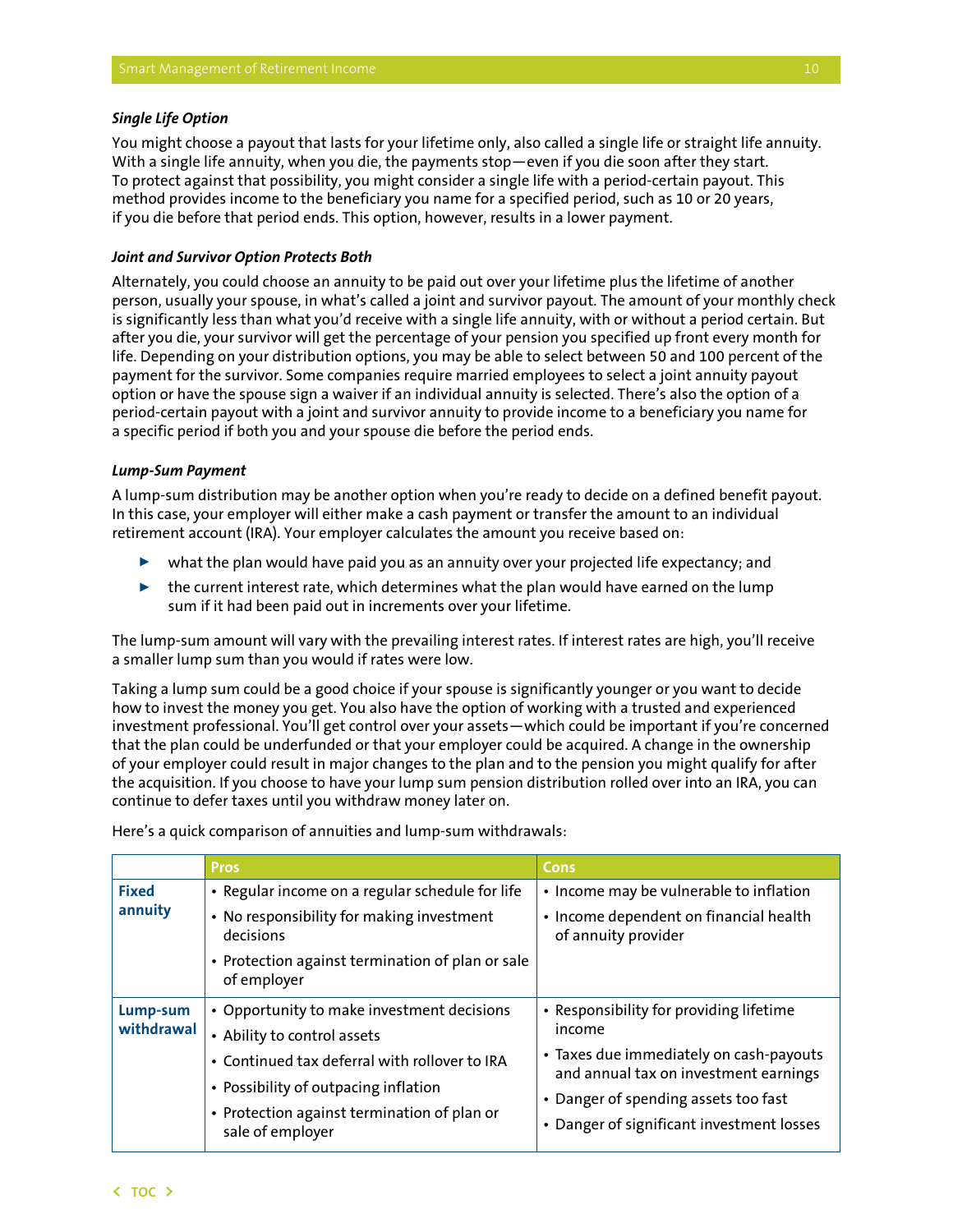#### *Single Life Option*

You might choose a payout that lasts for your lifetime only, also called a single life or straight life annuity. With a single life annuity, when you die, the payments stop—even if you die soon after they start. To protect against that possibility, you might consider a single life with a period-certain payout. This method provides income to the beneficiary you name for a specified period, such as 10 or 20 years, if you die before that period ends. This option, however, results in a lower payment.

#### *Joint and Survivor Option Protects Both*

Alternately, you could choose an annuity to be paid out over your lifetime plus the lifetime of another person, usually your spouse, in what's called a joint and survivor payout. The amount of your monthly check is significantly less than what you'd receive with a single life annuity, with or without a period certain. But after you die, your survivor will get the percentage of your pension you specified up front every month for life. Depending on your distribution options, you may be able to select between 50 and 100 percent of the payment for the survivor. Some companies require married employees to select a joint annuity payout option or have the spouse sign a waiver if an individual annuity is selected. There's also the option of a period-certain payout with a joint and survivor annuity to provide income to a beneficiary you name for a specific period if both you and your spouse die before the period ends.

#### *Lump-Sum Payment*

A lump-sum distribution may be another option when you're ready to decide on a defined benefit payout. In this case, your employer will either make a cash payment or transfer the amount to an individual retirement account (IRA). Your employer calculates the amount you receive based on:

- $\triangleright$  what the plan would have paid you as an annuity over your projected life expectancy; and
- $\triangleright$  the current interest rate, which determines what the plan would have earned on the lump sum if it had been paid out in increments over your lifetime.

The lump-sum amount will vary with the prevailing interest rates. If interest rates are high, you'll receive a smaller lump sum than you would if rates were low.

Taking a lump sum could be a good choice if your spouse is significantly younger or you want to decide how to invest the money you get. You also have the option of working with a trusted and experienced investment professional. You'll get control over your assets—which could be important if you're concerned that the plan could be underfunded or that your employer could be acquired. A change in the ownership of your employer could result in major changes to the plan and to the pension you might qualify for after the acquisition. If you choose to have your lump sum pension distribution rolled over into an IRA, you can continue to defer taxes until you withdraw money later on.

|                         | <b>Pros</b>                                                                                                                                                                                                                           | Cons                                                                                                                                                                                                                       |
|-------------------------|---------------------------------------------------------------------------------------------------------------------------------------------------------------------------------------------------------------------------------------|----------------------------------------------------------------------------------------------------------------------------------------------------------------------------------------------------------------------------|
| <b>Fixed</b><br>annuity | • Regular income on a regular schedule for life<br>• No responsibility for making investment<br>decisions<br>• Protection against termination of plan or sale<br>of employer                                                          | • Income may be vulnerable to inflation<br>• Income dependent on financial health<br>of annuity provider                                                                                                                   |
| Lump-sum<br>withdrawal  | • Opportunity to make investment decisions<br>• Ability to control assets<br>• Continued tax deferral with rollover to IRA<br>• Possibility of outpacing inflation<br>• Protection against termination of plan or<br>sale of employer | • Responsibility for providing lifetime<br>income<br>• Taxes due immediately on cash-payouts<br>and annual tax on investment earnings<br>• Danger of spending assets too fast<br>• Danger of significant investment losses |

Here's a quick comparison of annuities and lump-sum withdrawals: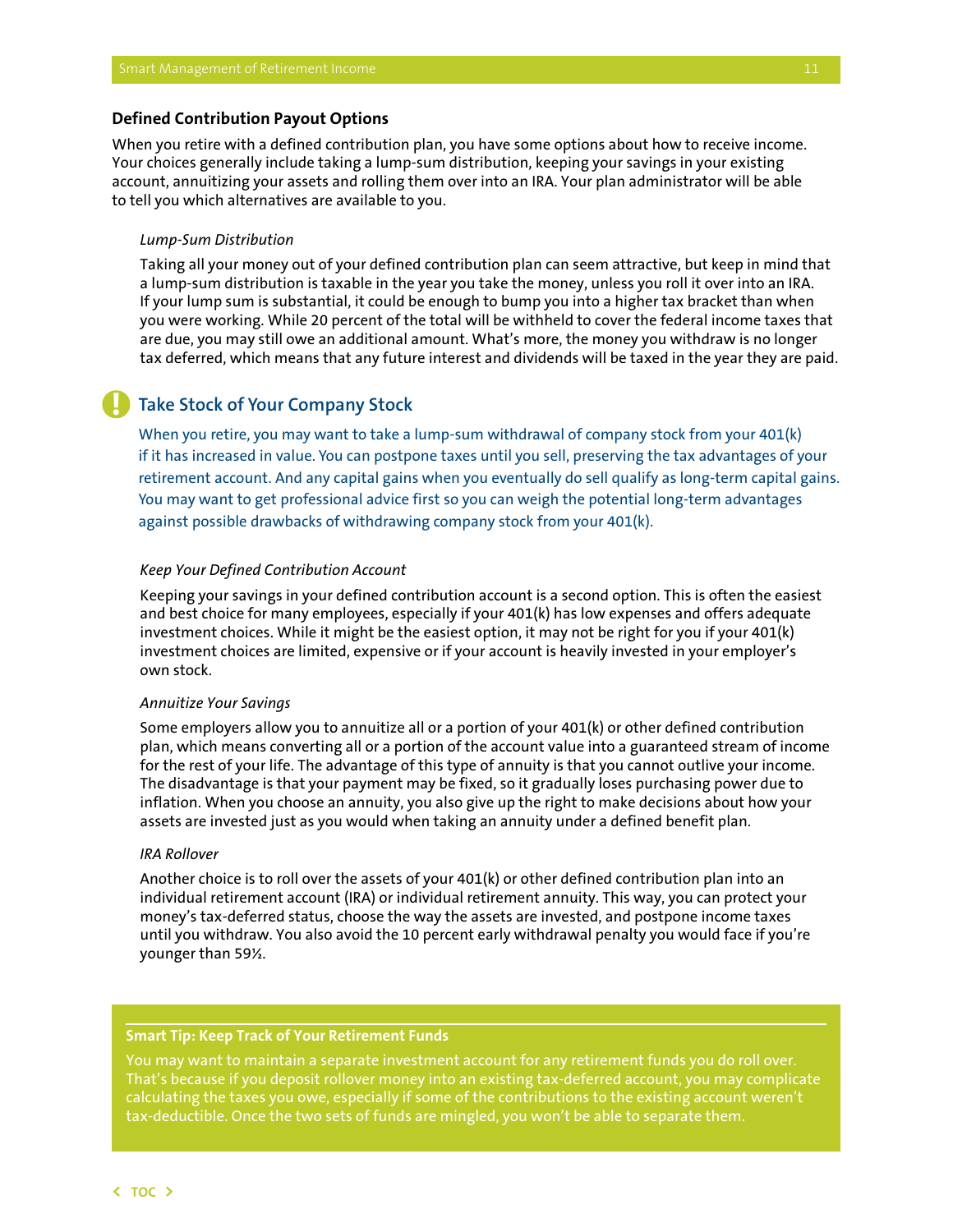#### <span id="page-12-0"></span>**Defined Contribution Payout Options**

When you retire with a defined contribution plan, you have some options about how to receive income. Your choices generally include taking a lump-sum distribution, keeping your savings in your existing account, annuitizing your assets and rolling them over into an IRA. Your plan administrator will be able to tell you which alternatives are available to you.

#### *Lump-Sum Distribution*

**!**

Taking all your money out of your defined contribution plan can seem attractive, but keep in mind that a lump-sum distribution is taxable in the year you take the money, unless you roll it over into an IRA. If your lump sum is substantial, it could be enough to bump you into a higher tax bracket than when you were working. While 20 percent of the total will be withheld to cover the federal income taxes that are due, you may still owe an additional amount. What's more, the money you withdraw is no longer tax deferred, which means that any future interest and dividends will be taxed in the year they are paid.

## **Take Stock of Your Company Stock**

When you retire, you may want to take a lump-sum withdrawal of company stock from your 401(k) if it has increased in value. You can postpone taxes until you sell, preserving the tax advantages of your retirement account. And any capital gains when you eventually do sell qualify as long-term capital gains. You may want to get professional advice first so you can weigh the potential long-term advantages against possible drawbacks of withdrawing company stock from your 401(k).

#### *Keep Your Defined Contribution Account*

Keeping your savings in your defined contribution account is a second option. This is often the easiest and best choice for many employees, especially if your 401(k) has low expenses and offers adequate investment choices. While it might be the easiest option, it may not be right for you if your 401(k) investment choices are limited, expensive or if your account is heavily invested in your employer's own stock.

#### *Annuitize Your Savings*

Some employers allow you to annuitize all or a portion of your 401(k) or other defined contribution plan, which means converting all or a portion of the account value into a guaranteed stream of income for the rest of your life. The advantage of this type of annuity is that you cannot outlive your income. The disadvantage is that your payment may be fixed, so it gradually loses purchasing power due to inflation. When you choose an annuity, you also give up the right to make decisions about how your assets are invested just as you would when taking an annuity under a defined benefit plan.

#### *IRA Rollover*

Another choice is to roll over the assets of your 401(k) or other defined contribution plan into an individual retirement account (IRA) or individual retirement annuity. This way, you can protect your money's tax-deferred status, choose the way the assets are invested, and postpone income taxes until you withdraw. You also avoid the 10 percent early withdrawal penalty you would face if you're younger than 59½.

#### **Smart Tip: Keep Track of Your Retirement Funds**

You may want to maintain a separate investment account for any retirement funds you do roll over. That's because if you deposit rollover money into an existing tax-deferred account, you may complicate calculating the taxes you owe, especially if some of the contributions to the existing account weren't tax-deductible. Once the two sets of funds are mingled, you won't be able to separate them.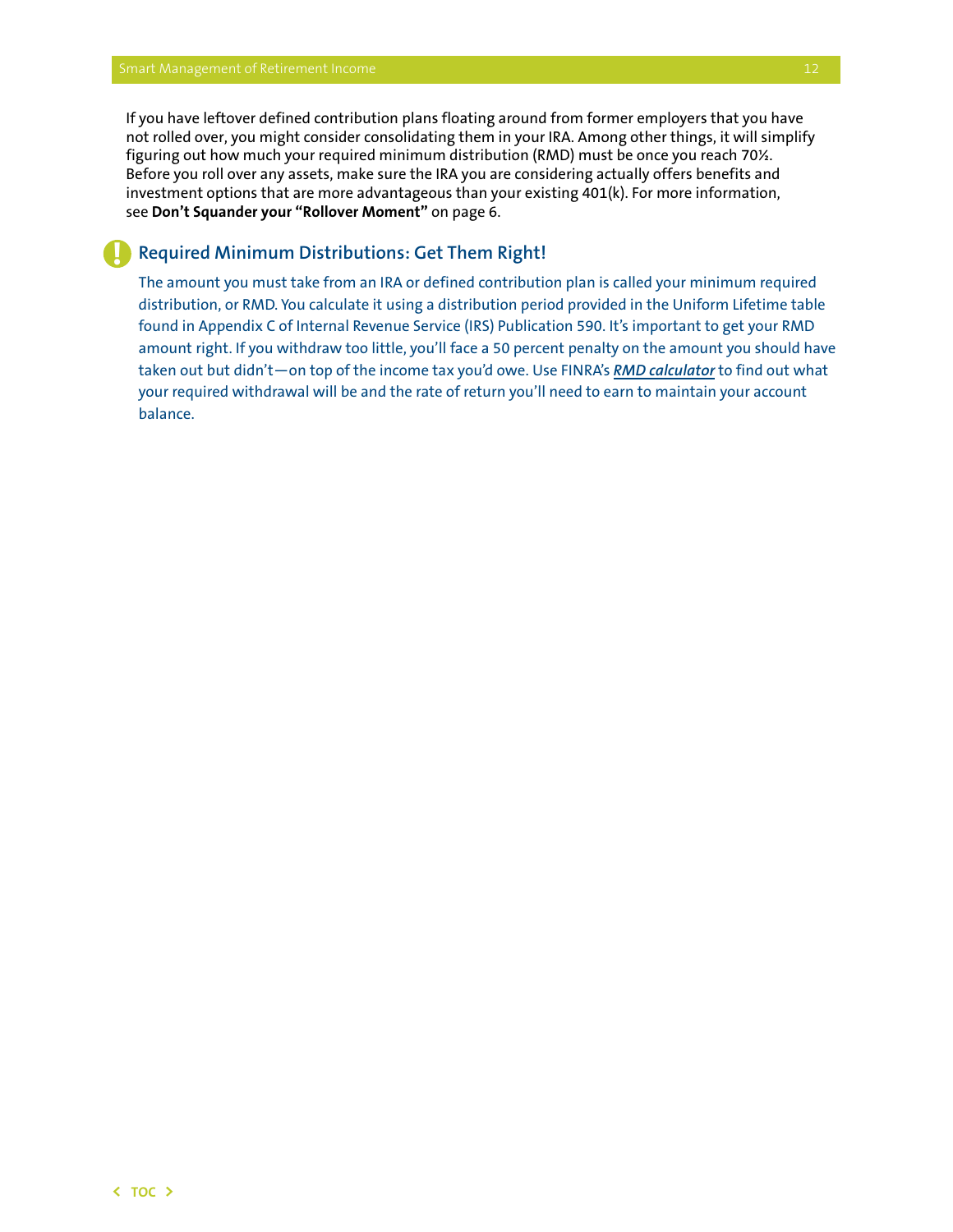**!**

If you have leftover defined contribution plans floating around from former employers that you have not rolled over, you might consider consolidating them in your IRA. Among other things, it will simplify figuring out how much your required minimum distribution (RMD) must be once you reach 70½. Before you roll over any assets, make sure the IRA you are considering actually offers benefits and investment options that are more advantageous than your existing 401(k). For more information, see **Don't Squander your "Rollover Moment"** on page 6.

## **Required Minimum Distributions: Get Them Right!**

The amount you must take from an IRA or defined contribution plan is called your minimum required distribution, or RMD. You calculate it using a distribution period provided in the Uniform Lifetime table found in Appendix C of Internal Revenue Service (IRS) Publication 590. It's important to get your RMD amount right. If you withdraw too little, you'll face a 50 percent penalty on the amount you should have taken out but didn't—on top of the income tax you'd owe. Use FINRA's *[RMD calculator](http://www.finra.org/rmdcalculator)* to find out what your required withdrawal will be and the rate of return you'll need to earn to maintain your account balance.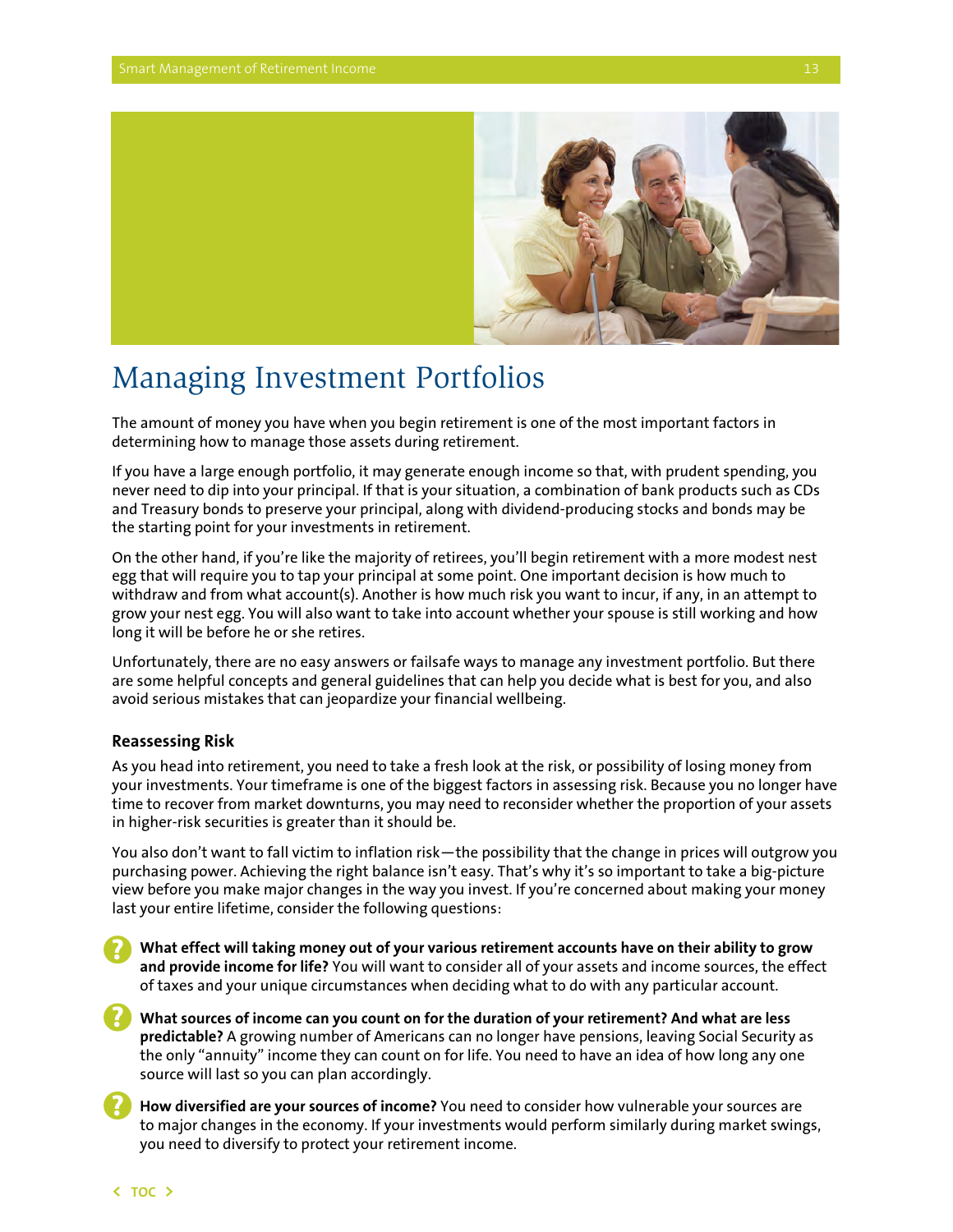<span id="page-14-0"></span>

## Managing Investment Portfolios

The amount of money you have when you begin retirement is one of the most important factors in determining how to manage those assets during retirement.

If you have a large enough portfolio, it may generate enough income so that, with prudent spending, you never need to dip into your principal. If that is your situation, a combination of bank products such as CDs and Treasury bonds to preserve your principal, along with dividend-producing stocks and bonds may be the starting point for your investments in retirement.

On the other hand, if you're like the majority of retirees, you'll begin retirement with a more modest nest egg that will require you to tap your principal at some point. One important decision is how much to withdraw and from what account(s). Another is how much risk you want to incur, if any, in an attempt to grow your nest egg. You will also want to take into account whether your spouse is still working and how long it will be before he or she retires.

Unfortunately, there are no easy answers or failsafe ways to manage any investment portfolio. But there are some helpful concepts and general guidelines that can help you decide what is best for you, and also avoid serious mistakes that can jeopardize your financial wellbeing.

### **Reassessing Risk**

As you head into retirement, you need to take a fresh look at the risk, or possibility of losing money from your investments. Your timeframe is one of the biggest factors in assessing risk. Because you no longer have time to recover from market downturns, you may need to reconsider whether the proportion of your assets in higher-risk securities is greater than it should be.

You also don't want to fall victim to inflation risk—the possibility that the change in prices will outgrow you purchasing power. Achieving the right balance isn't easy. That's why it's so important to take a big-picture view before you make major changes in the way you invest. If you're concerned about making your money last your entire lifetime, consider the following questions:

**What effect will taking money out of your various retirement accounts have on their ability to grow and provide income for life?** You will want to consider all of your assets and income sources, the effect of taxes and your unique circumstances when deciding what to do with any particular account. **?**

**What sources of income can you count on for the duration of your retirement? And what are less predictable?** A growing number of Americans can no longer have pensions, leaving Social Security as the only "annuity" income they can count on for life. You need to have an idea of how long any one source will last so you can plan accordingly.

**How diversified are your sources of income?** You need to consider how vulnerable your sources are to major changes in the economy. If your investments would perform similarly during market swings, you need to diversify to protect your retirement income.

**?**

**?**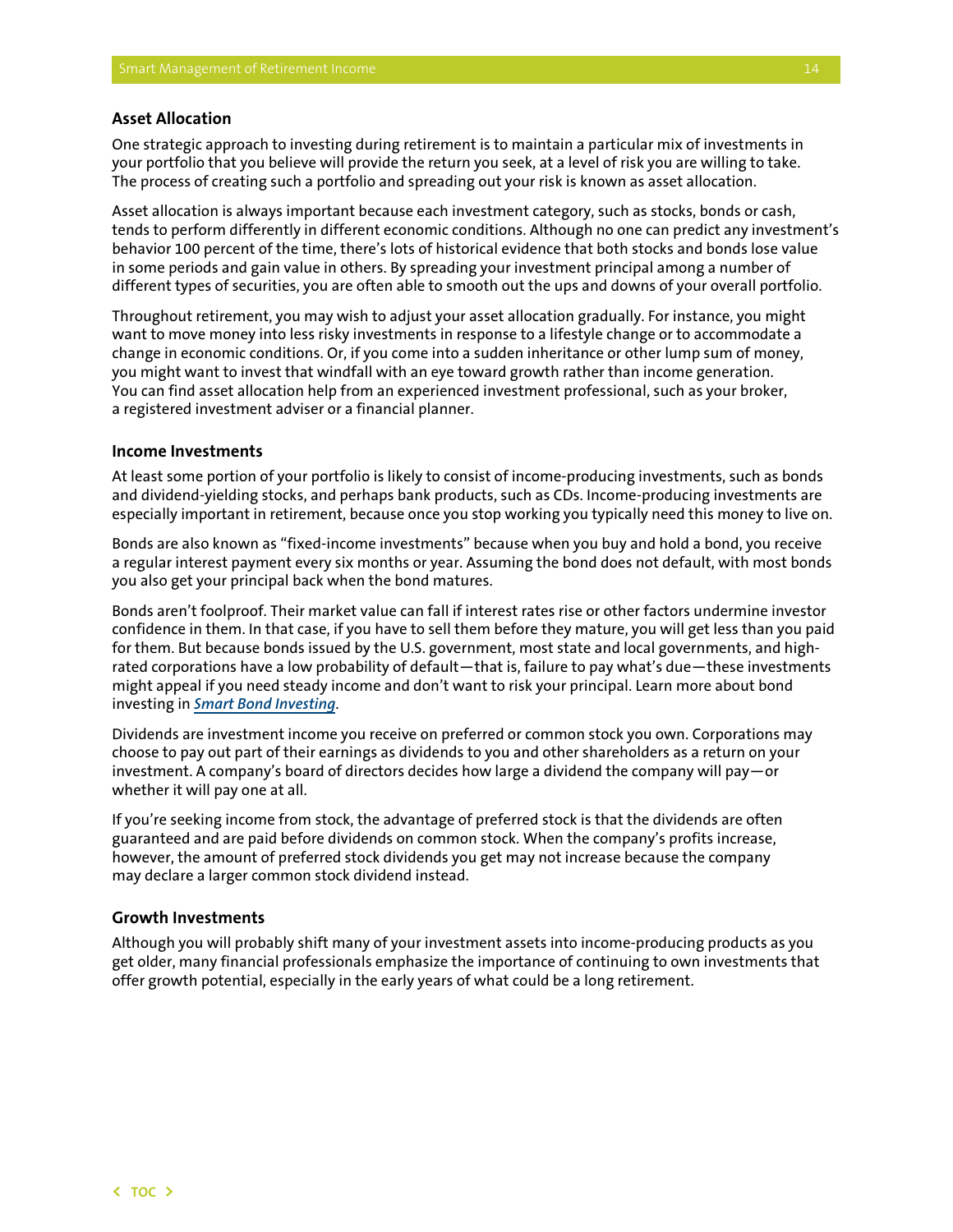### <span id="page-15-0"></span>**Asset Allocation**

One strategic approach to investing during retirement is to maintain a particular mix of investments in your portfolio that you believe will provide the return you seek, at a level of risk you are willing to take. The process of creating such a portfolio and spreading out your risk is known as asset allocation.

Asset allocation is always important because each investment category, such as stocks, bonds or cash, tends to perform differently in different economic conditions. Although no one can predict any investment's behavior 100 percent of the time, there's lots of historical evidence that both stocks and bonds lose value in some periods and gain value in others. By spreading your investment principal among a number of different types of securities, you are often able to smooth out the ups and downs of your overall portfolio.

Throughout retirement, you may wish to adjust your asset allocation gradually. For instance, you might want to move money into less risky investments in response to a lifestyle change or to accommodate a change in economic conditions. Or, if you come into a sudden inheritance or other lump sum of money, you might want to invest that windfall with an eye toward growth rather than income generation. You can find asset allocation help from an experienced investment professional, such as your broker, a registered investment adviser or a financial planner.

#### **Income Investments**

At least some portion of your portfolio is likely to consist of income-producing investments, such as bonds and dividend-yielding stocks, and perhaps bank products, such as CDs. Income-producing investments are especially important in retirement, because once you stop working you typically need this money to live on.

Bonds are also known as "fixed-income investments" because when you buy and hold a bond, you receive a regular interest payment every six months or year. Assuming the bond does not default, with most bonds you also get your principal back when the bond matures.

Bonds aren't foolproof. Their market value can fall if interest rates rise or other factors undermine investor confidence in them. In that case, if you have to sell them before they mature, you will get less than you paid for them. But because bonds issued by the U.S. government, most state and local governments, and highrated corporations have a low probability of default—that is, failure to pay what's due—these investments might appeal if you need steady income and don't want to risk your principal. Learn more about bond investing in *[Smart Bond Investing](http://www.finra.org/Investors/InvestmentChoices/Bonds/SmartBondInvesting/Introduction/)*.

Dividends are investment income you receive on preferred or common stock you own. Corporations may choose to pay out part of their earnings as dividends to you and other shareholders as a return on your investment. A company's board of directors decides how large a dividend the company will pay—or whether it will pay one at all.

If you're seeking income from stock, the advantage of preferred stock is that the dividends are often guaranteed and are paid before dividends on common stock. When the company's profits increase, however, the amount of preferred stock dividends you get may not increase because the company may declare a larger common stock dividend instead.

#### **Growth Investments**

Although you will probably shift many of your investment assets into income-producing products as you get older, many financial professionals emphasize the importance of continuing to own investments that offer growth potential, especially in the early years of what could be a long retirement.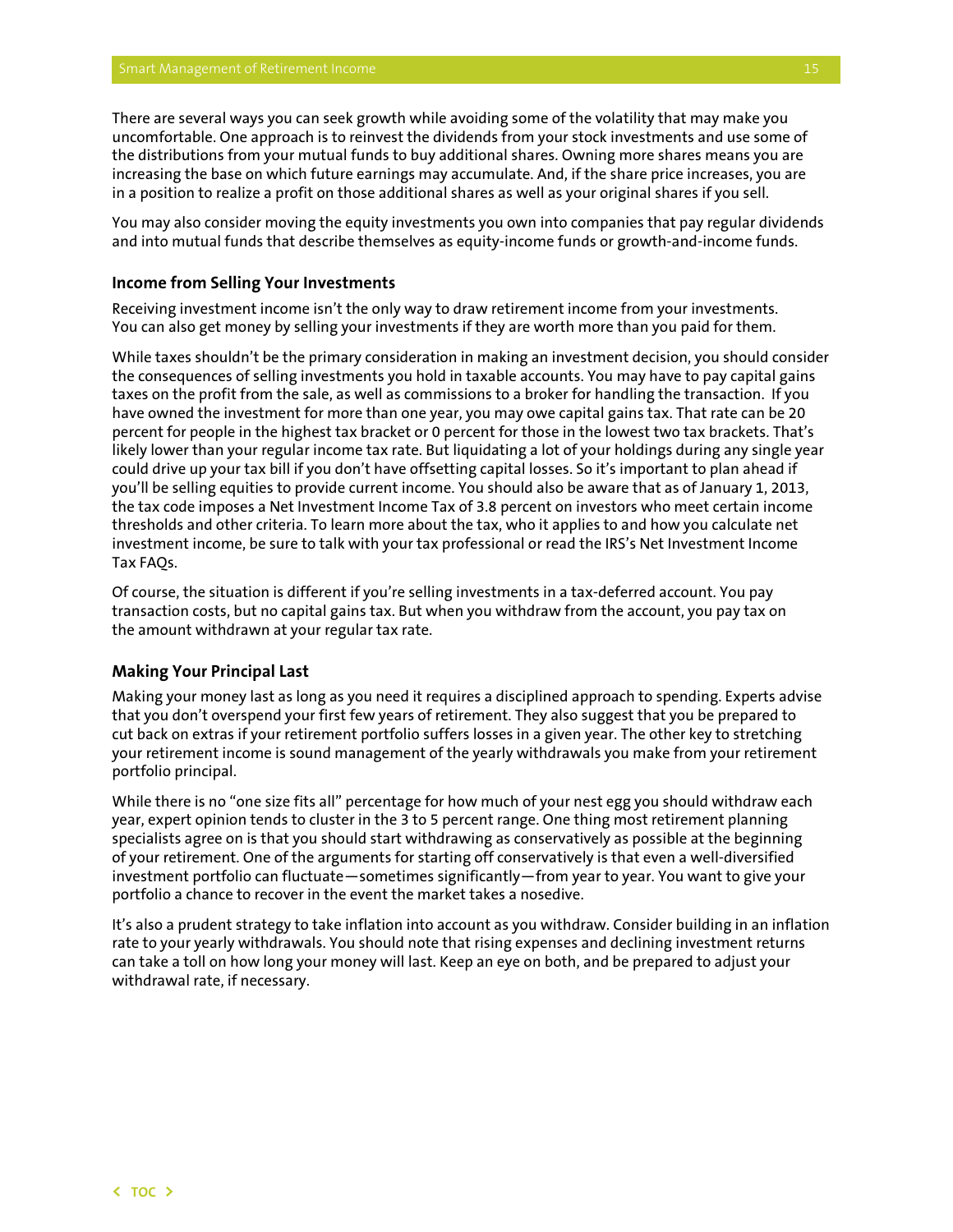<span id="page-16-0"></span>There are several ways you can seek growth while avoiding some of the volatility that may make you uncomfortable. One approach is to reinvest the dividends from your stock investments and use some of the distributions from your mutual funds to buy additional shares. Owning more shares means you are increasing the base on which future earnings may accumulate. And, if the share price increases, you are in a position to realize a profit on those additional shares as well as your original shares if you sell.

You may also consider moving the equity investments you own into companies that pay regular dividends and into mutual funds that describe themselves as equity-income funds or growth-and-income funds.

#### **Income from Selling Your Investments**

Receiving investment income isn't the only way to draw retirement income from your investments. You can also get money by selling your investments if they are worth more than you paid for them.

While taxes shouldn't be the primary consideration in making an investment decision, you should consider the consequences of selling investments you hold in taxable accounts. You may have to pay capital gains taxes on the profit from the sale, as well as commissions to a broker for handling the transaction. If you have owned the investment for more than one year, you may owe capital gains tax. That rate can be 20 percent for people in the highest tax bracket or 0 percent for those in the lowest two tax brackets. That's likely lower than your regular income tax rate. But liquidating a lot of your holdings during any single year could drive up your tax bill if you don't have offsetting capital losses. So it's important to plan ahead if you'll be selling equities to provide current income. You should also be aware that as of January 1, 2013, the tax code imposes a Net Investment Income Tax of 3.8 percent on investors who meet certain income thresholds and other criteria. To learn more about the tax, who it applies to and how you calculate net investment income, be sure to talk with your tax professional or read the IRS's Net Investment Income Tax FAQs.

Of course, the situation is different if you're selling investments in a tax-deferred account. You pay transaction costs, but no capital gains tax. But when you withdraw from the account, you pay tax on the amount withdrawn at your regular tax rate.

#### **Making Your Principal Last**

Making your money last as long as you need it requires a disciplined approach to spending. Experts advise that you don't overspend your first few years of retirement. They also suggest that you be prepared to cut back on extras if your retirement portfolio suffers losses in a given year. The other key to stretching your retirement income is sound management of the yearly withdrawals you make from your retirement portfolio principal.

While there is no "one size fits all" percentage for how much of your nest egg you should withdraw each year, expert opinion tends to cluster in the 3 to 5 percent range. One thing most retirement planning specialists agree on is that you should start withdrawing as conservatively as possible at the beginning of your retirement. One of the arguments for starting off conservatively is that even a well-diversified investment portfolio can fluctuate—sometimes significantly—from year to year. You want to give your portfolio a chance to recover in the event the market takes a nosedive.

It's also a prudent strategy to take inflation into account as you withdraw. Consider building in an inflation rate to your yearly withdrawals. You should note that rising expenses and declining investment returns can take a toll on how long your money will last. Keep an eye on both, and be prepared to adjust your withdrawal rate, if necessary.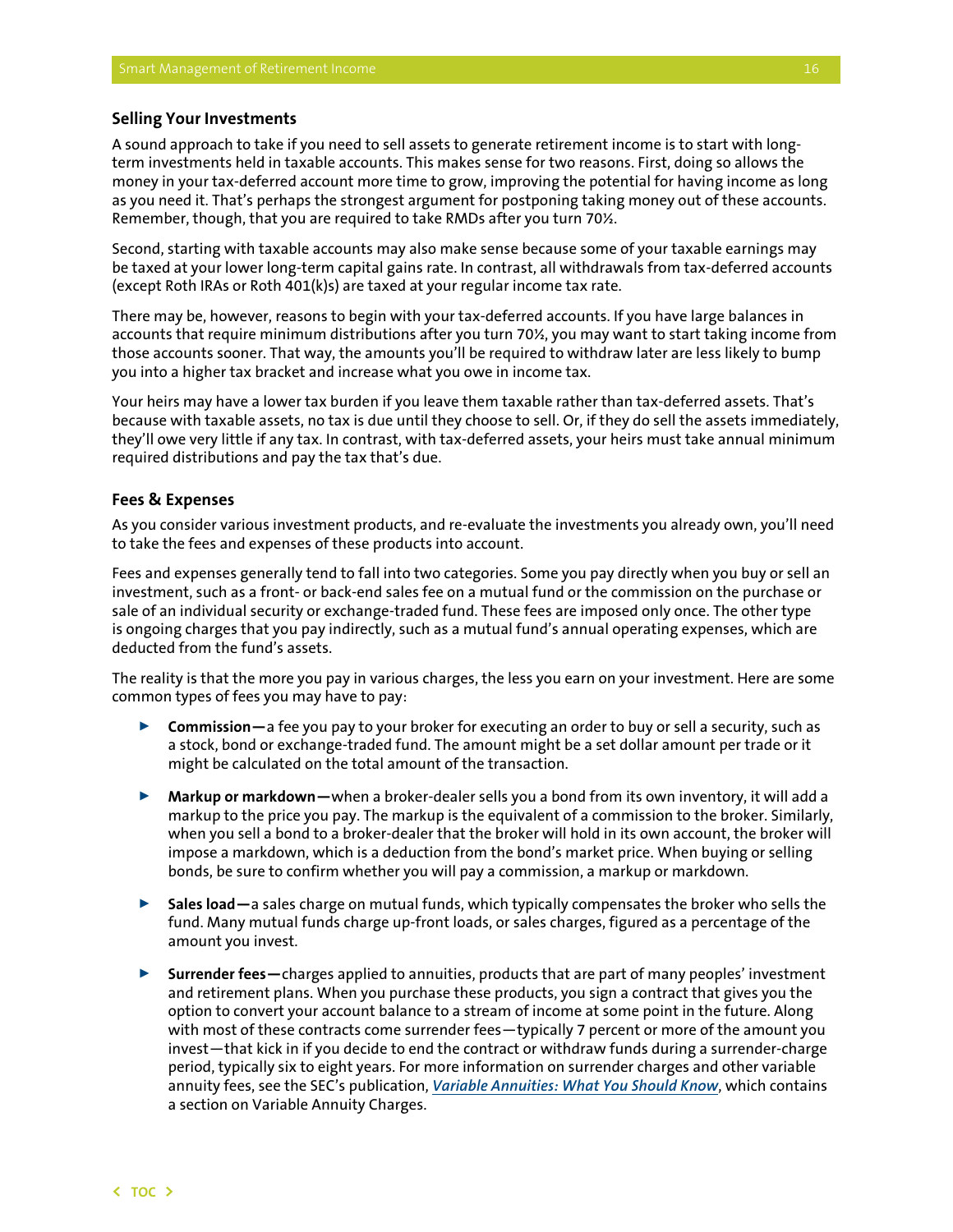#### <span id="page-17-0"></span>**Selling Your Investments**

A sound approach to take if you need to sell assets to generate retirement income is to start with longterm investments held in taxable accounts. This makes sense for two reasons. First, doing so allows the money in your tax-deferred account more time to grow, improving the potential for having income as long as you need it. That's perhaps the strongest argument for postponing taking money out of these accounts. Remember, though, that you are required to take RMDs after you turn 70½.

Second, starting with taxable accounts may also make sense because some of your taxable earnings may be taxed at your lower long-term capital gains rate. In contrast, all withdrawals from tax-deferred accounts (except Roth IRAs or Roth 401(k)s) are taxed at your regular income tax rate.

There may be, however, reasons to begin with your tax-deferred accounts. If you have large balances in accounts that require minimum distributions after you turn 70½, you may want to start taking income from those accounts sooner. That way, the amounts you'll be required to withdraw later are less likely to bump you into a higher tax bracket and increase what you owe in income tax.

Your heirs may have a lower tax burden if you leave them taxable rather than tax-deferred assets. That's because with taxable assets, no tax is due until they choose to sell. Or, if they do sell the assets immediately, they'll owe very little if any tax. In contrast, with tax-deferred assets, your heirs must take annual minimum required distributions and pay the tax that's due.

#### **Fees & Expenses**

As you consider various investment products, and re-evaluate the investments you already own, you'll need to take the fees and expenses of these products into account.

Fees and expenses generally tend to fall into two categories. Some you pay directly when you buy or sell an investment, such as a front- or back-end sales fee on a mutual fund or the commission on the purchase or sale of an individual security or exchange-traded fund. These fees are imposed only once. The other type is ongoing charges that you pay indirectly, such as a mutual fund's annual operating expenses, which are deducted from the fund's assets.

The reality is that the more you pay in various charges, the less you earn on your investment. Here are some common types of fees you may have to pay:

- ► Commission—a fee you pay to your broker for executing an order to buy or sell a security, such as a stock, bond or exchange-traded fund. The amount might be a set dollar amount per trade or it might be calculated on the total amount of the transaction.
- ▶ Markup or markdown—when a broker-dealer sells you a bond from its own inventory, it will add a markup to the price you pay. The markup is the equivalent of a commission to the broker. Similarly, when you sell a bond to a broker-dealer that the broker will hold in its own account, the broker will impose a markdown, which is a deduction from the bond's market price. When buying or selling bonds, be sure to confirm whether you will pay a commission, a markup or markdown.
- ▶ Sales load—a sales charge on mutual funds, which typically compensates the broker who sells the fund. Many mutual funds charge up-front loads, or sales charges, figured as a percentage of the amount you invest.
- <sup>00</sup> **Surrender fees—**charges applied to annuities, products that are part of many peoples' investment and retirement plans. When you purchase these products, you sign a contract that gives you the option to convert your account balance to a stream of income at some point in the future. Along with most of these contracts come surrender fees—typically 7 percent or more of the amount you invest—that kick in if you decide to end the contract or withdraw funds during a surrender-charge period, typically six to eight years. For more information on surrender charges and other variable annuity fees, see the SEC's publication, *[Variable Annuities: What You Should Know](http://www.sec.gov/investor/pubs/varannty.htm)*, which contains a section on Variable Annuity Charges.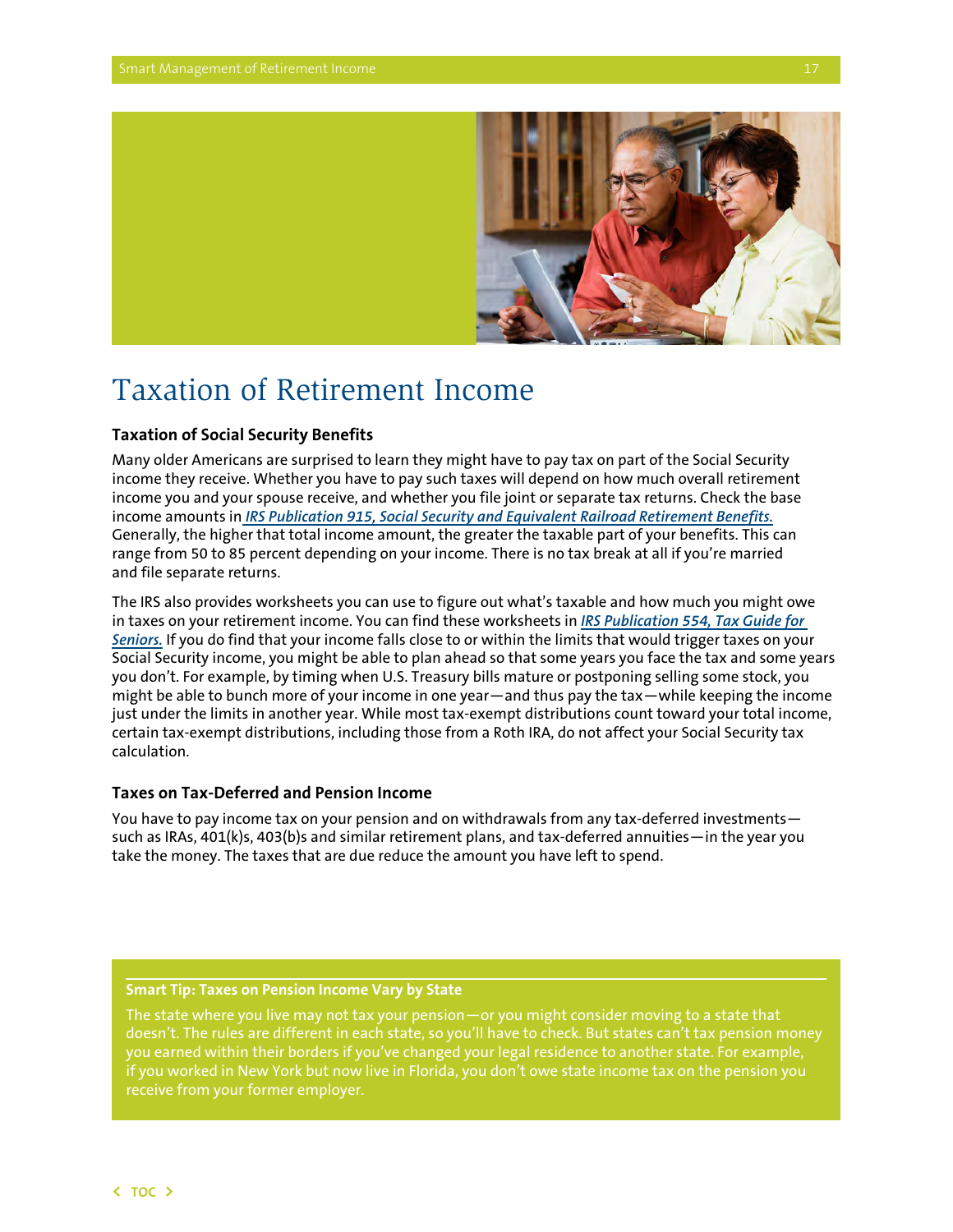<span id="page-18-0"></span>

## Taxation of Retirement Income

## **Taxation of Social Security Benefits**

Many older Americans are surprised to learn they might have to pay tax on part of the Social Security income they receive. Whether you have to pay such taxes will depend on how much overall retirement income you and your spouse receive, and whether you file joint or separate tax returns. Check the base income amounts in *[IRS Publication 915, Social Security and Equivalent Railroad Retirement Benefits.](http://www.irs.gov/pub/irs-pdf/p915.pdf)* Generally, the higher that total income amount, the greater the taxable part of your benefits. This can range from 50 to 85 percent depending on your income. There is no tax break at all if you're married and file separate returns.

The IRS also provides worksheets you can use to figure out what's taxable and how much you might owe in taxes on your retirement income. You can find these worksheets in *[IRS Publication 554, Tax Guide](http://www.irs.gov/pub/irs-pdf/p554.pdf) for Seniors.* If you do find that your income falls close to or within the limits that would trigger taxes on your Social Security income, you might be able to plan ahead so that some years you face the tax and some years you don't. For example, by timing when U.S. Treasury bills mature or postponing selling some stock, you might be able to bunch more of your income in one year—and thus pay the tax—while keeping the income just under the limits in another year. While most tax-exempt distributions count toward your total income, certain tax-exempt distributions, including those from a Roth IRA, do not affect your Social Security tax calculation.

### **Taxes on Tax-Deferred and Pension Income**

You have to pay income tax on your pension and on withdrawals from any tax-deferred investments such as IRAs, 401(k)s, 403(b)s and similar retirement plans, and tax-deferred annuities—in the year you take the money. The taxes that are due reduce the amount you have left to spend.

#### **Smart Tip: Taxes on Pension Income Vary by State**

The state where you live may not tax your pension—or you might consider moving to a state that doesn't. The rules are different in each state, so you'll have to check. But states can't tax pension money you earned within their borders if you've changed your legal residence to another state. For example, if you worked in New York but now live in Florida, you don't owe state income tax on the pension you receive from your former employer.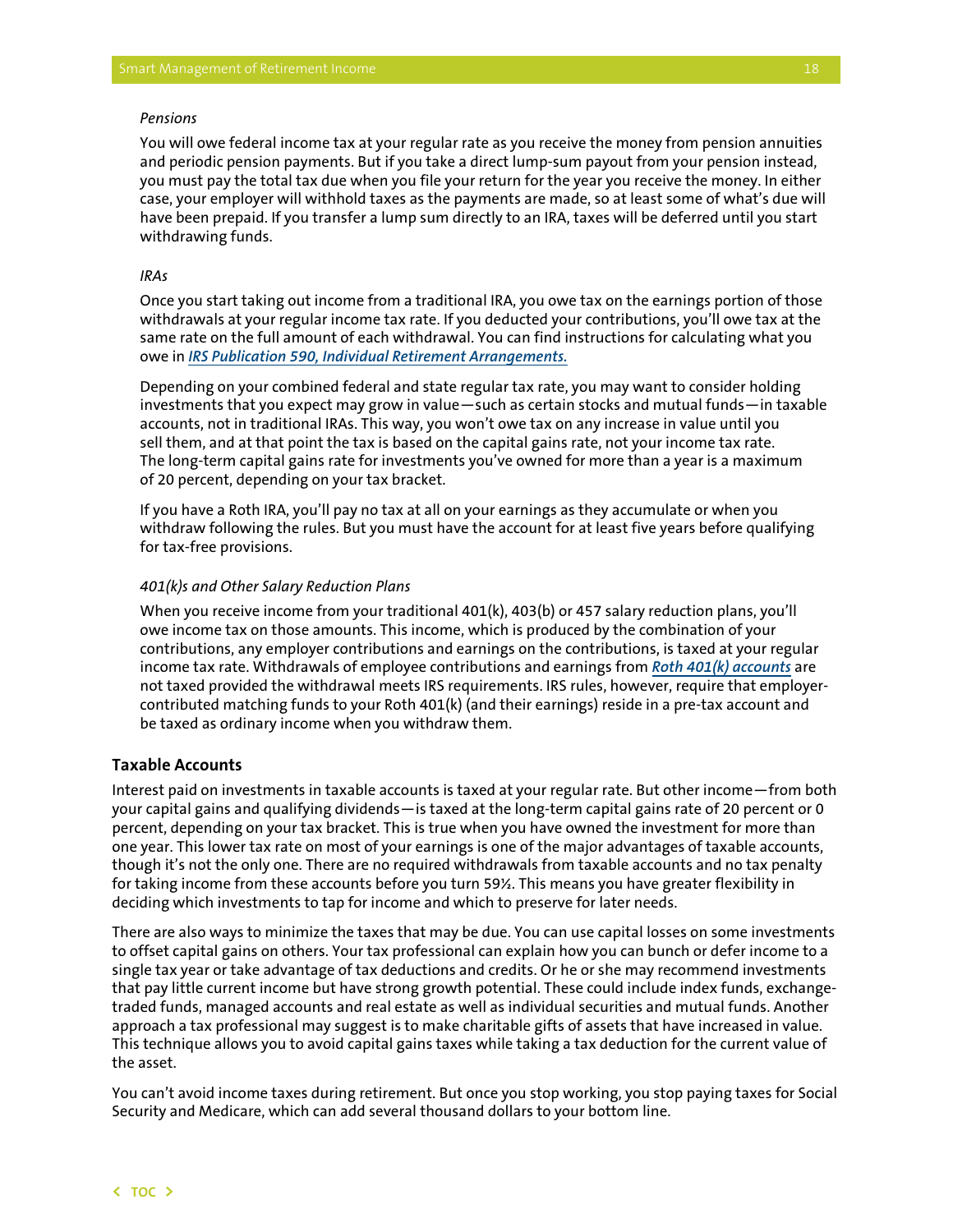#### <span id="page-19-0"></span>*Pensions*

You will owe federal income tax at your regular rate as you receive the money from pension annuities and periodic pension payments. But if you take a direct lump-sum payout from your pension instead, you must pay the total tax due when you file your return for the year you receive the money. In either case, your employer will withhold taxes as the payments are made, so at least some of what's due will have been prepaid. If you transfer a lump sum directly to an IRA, taxes will be deferred until you start withdrawing funds.

#### *IRAs*

Once you start taking out income from a traditional IRA, you owe tax on the earnings portion of those withdrawals at your regular income tax rate. If you deducted your contributions, you'll owe tax at the same rate on the full amount of each withdrawal. You can find instructions for calculating what you owe in *[IRS Publication 590, Individual Retirement Arrangements](http://www.irs.gov/publications/p590/index.html).*

Depending on your combined federal and state regular tax rate, you may want to consider holding investments that you expect may grow in value—such as certain stocks and mutual funds—in taxable accounts, not in traditional IRAs. This way, you won't owe tax on any increase in value until you sell them, and at that point the tax is based on the capital gains rate, not your income tax rate. The long-term capital gains rate for investments you've owned for more than a year is a maximum of 20 percent, depending on your tax bracket.

If you have a Roth IRA, you'll pay no tax at all on your earnings as they accumulate or when you withdraw following the rules. But you must have the account for at least five years before qualifying for tax-free provisions.

#### *401(k)s and Other Salary Reduction Plans*

When you receive income from your traditional 401(k), 403(b) or 457 salary reduction plans, you'll owe income tax on those amounts. This income, which is produced by the combination of your contributions, any employer contributions and earnings on the contributions, is taxed at your regular income tax rate. Withdrawals of employee contributions and earnings from *[Roth 401\(k\) accounts](http://www.irs.gov/Retirement-Plans/Roth-Comparison-Chart)* are not taxed provided the withdrawal meets IRS requirements. IRS rules, however, require that employercontributed matching funds to your Roth 401(k) (and their earnings) reside in a pre-tax account and be taxed as ordinary income when you withdraw them.

## **Taxable Accounts**

Interest paid on investments in taxable accounts is taxed at your regular rate. But other income—from both your capital gains and qualifying dividends—is taxed at the long-term capital gains rate of 20 percent or 0 percent, depending on your tax bracket. This is true when you have owned the investment for more than one year. This lower tax rate on most of your earnings is one of the major advantages of taxable accounts, though it's not the only one. There are no required withdrawals from taxable accounts and no tax penalty for taking income from these accounts before you turn 59½. This means you have greater flexibility in deciding which investments to tap for income and which to preserve for later needs.

There are also ways to minimize the taxes that may be due. You can use capital losses on some investments to offset capital gains on others. Your tax professional can explain how you can bunch or defer income to a single tax year or take advantage of tax deductions and credits. Or he or she may recommend investments that pay little current income but have strong growth potential. These could include index funds, exchangetraded funds, managed accounts and real estate as well as individual securities and mutual funds. Another approach a tax professional may suggest is to make charitable gifts of assets that have increased in value. This technique allows you to avoid capital gains taxes while taking a tax deduction for the current value of the asset.

You can't avoid income taxes during retirement. But once you stop working, you stop paying taxes for Social Security and Medicare, which can add several thousand dollars to your bottom line.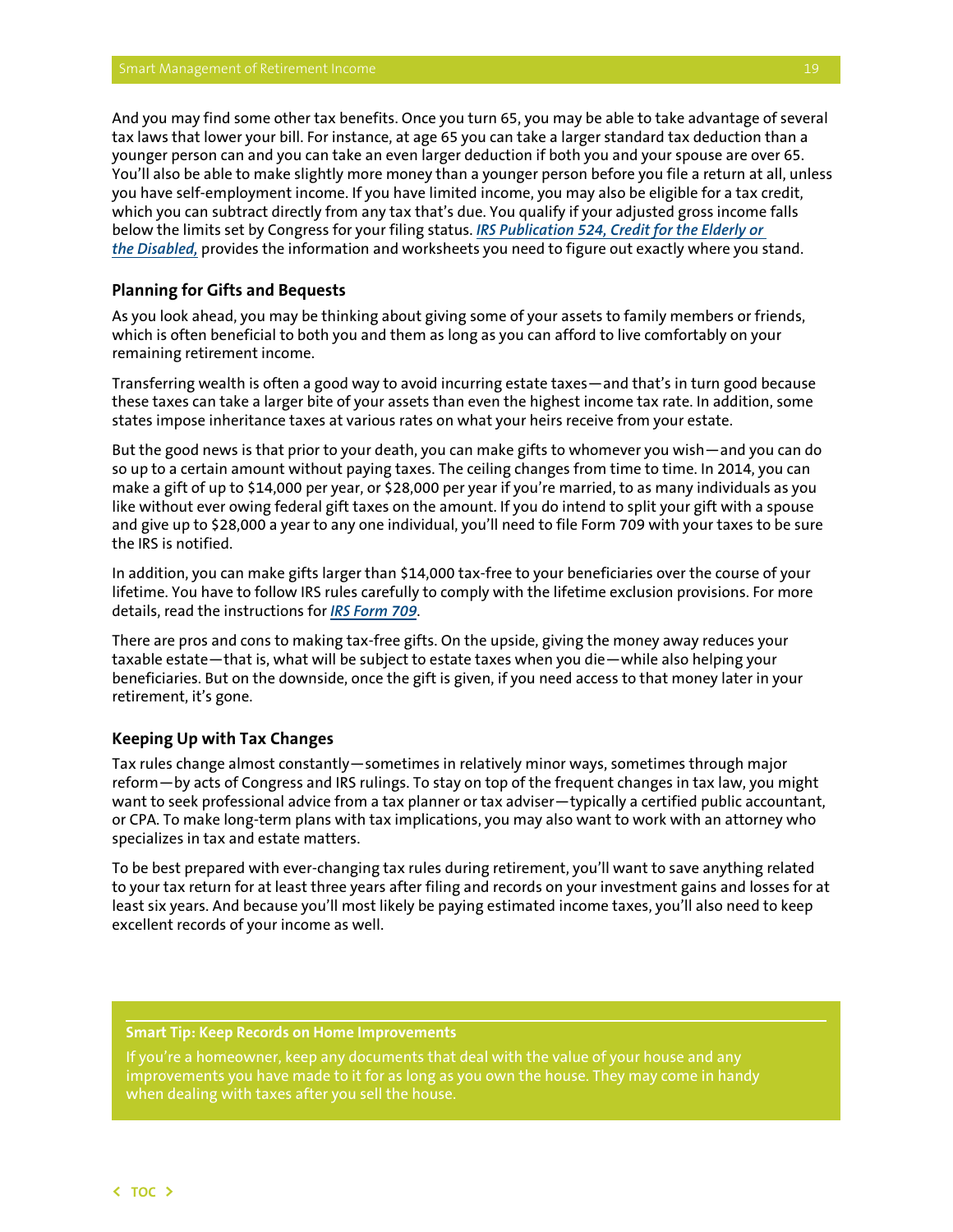<span id="page-20-0"></span>And you may find some other tax benefits. Once you turn 65, you may be able to take advantage of several tax laws that lower your bill. For instance, at age 65 you can take a larger standard tax deduction than a younger person can and you can take an even larger deduction if both you and your spouse are over 65. You'll also be able to make slightly more money than a younger person before you file a return at all, unless you have self-employment income. If you have limited income, you may also be eligible for a tax credit, which you can subtract directly from any tax that's due. You qualify if your adjusted gross income falls below the limits set by Congress for your filing status. *I[RS Publication 524, Credit for the Elderly or](http://www.irs.gov/publications/p524/index.html)  [the Disabled,](http://www.irs.gov/publications/p524/index.html)* provides the information and worksheets you need to figure out exactly where you stand.

## **Planning for Gifts and Bequests**

As you look ahead, you may be thinking about giving some of your assets to family members or friends, which is often beneficial to both you and them as long as you can afford to live comfortably on your remaining retirement income.

Transferring wealth is often a good way to avoid incurring estate taxes—and that's in turn good because these taxes can take a larger bite of your assets than even the highest income tax rate. In addition, some states impose inheritance taxes at various rates on what your heirs receive from your estate.

But the good news is that prior to your death, you can make gifts to whomever you wish—and you can do so up to a certain amount without paying taxes. The ceiling changes from time to time. In 2014, you can make a gift of up to \$14,000 per year, or \$28,000 per year if you're married, to as many individuals as you like without ever owing federal gift taxes on the amount. If you do intend to split your gift with a spouse and give up to \$28,000 a year to any one individual, you'll need to file Form 709 with your taxes to be sure the IRS is notified.

In addition, you can make gifts larger than \$14,000 tax-free to your beneficiaries over the course of your lifetime. You have to follow IRS rules carefully to comply with the lifetime exclusion provisions. For more details, read the instructions for *[IRS Form 709](http://www.irs.gov/pub/irs-pdf/i709.pdf)*.

There are pros and cons to making tax-free gifts. On the upside, giving the money away reduces your taxable estate—that is, what will be subject to estate taxes when you die—while also helping your beneficiaries. But on the downside, once the gift is given, if you need access to that money later in your retirement, it's gone.

#### **Keeping Up with Tax Changes**

Tax rules change almost constantly—sometimes in relatively minor ways, sometimes through major reform—by acts of Congress and IRS rulings. To stay on top of the frequent changes in tax law, you might want to seek professional advice from a tax planner or tax adviser—typically a certified public accountant, or CPA. To make long-term plans with tax implications, you may also want to work with an attorney who specializes in tax and estate matters.

To be best prepared with ever-changing tax rules during retirement, you'll want to save anything related to your tax return for at least three years after filing and records on your investment gains and losses for at least six years. And because you'll most likely be paying estimated income taxes, you'll also need to keep excellent records of your income as well.

#### **Smart Tip: Keep Records on Home Improvements**

improvements you have made to it for as long as you own the house. They may come in handy when dealing with taxes after you sell the house.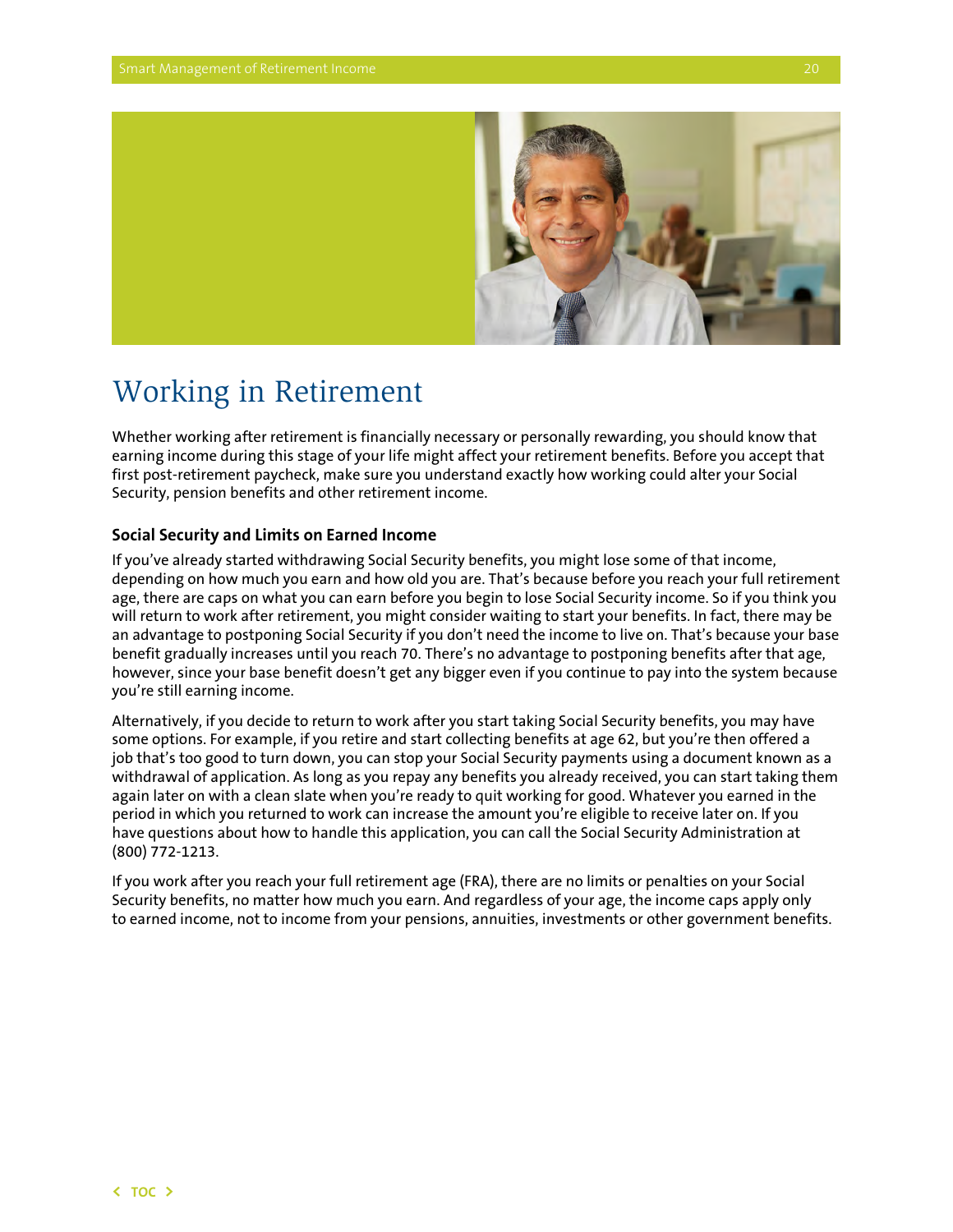

## <span id="page-21-0"></span>Working in Retirement

Whether working after retirement is financially necessary or personally rewarding, you should know that earning income during this stage of your life might affect your retirement benefits. Before you accept that first post-retirement paycheck, make sure you understand exactly how working could alter your Social Security, pension benefits and other retirement income.

## **Social Security and Limits on Earned Income**

If you've already started withdrawing Social Security benefits, you might lose some of that income, depending on how much you earn and how old you are. That's because before you reach your full retirement age, there are caps on what you can earn before you begin to lose Social Security income. So if you think you will return to work after retirement, you might consider waiting to start your benefits. In fact, there may be an advantage to postponing Social Security if you don't need the income to live on. That's because your base benefit gradually increases until you reach 70. There's no advantage to postponing benefits after that age, however, since your base benefit doesn't get any bigger even if you continue to pay into the system because you're still earning income.

Alternatively, if you decide to return to work after you start taking Social Security benefits, you may have some options. For example, if you retire and start collecting benefits at age 62, but you're then offered a job that's too good to turn down, you can stop your Social Security payments using a document known as a withdrawal of application. As long as you repay any benefits you already received, you can start taking them again later on with a clean slate when you're ready to quit working for good. Whatever you earned in the period in which you returned to work can increase the amount you're eligible to receive later on. If you have questions about how to handle this application, you can call the Social Security Administration at (800) 772-1213.

If you work after you reach your full retirement age (FRA), there are no limits or penalties on your Social Security benefits, no matter how much you earn. And regardless of your age, the income caps apply only to earned income, not to income from your pensions, annuities, investments or other government benefits.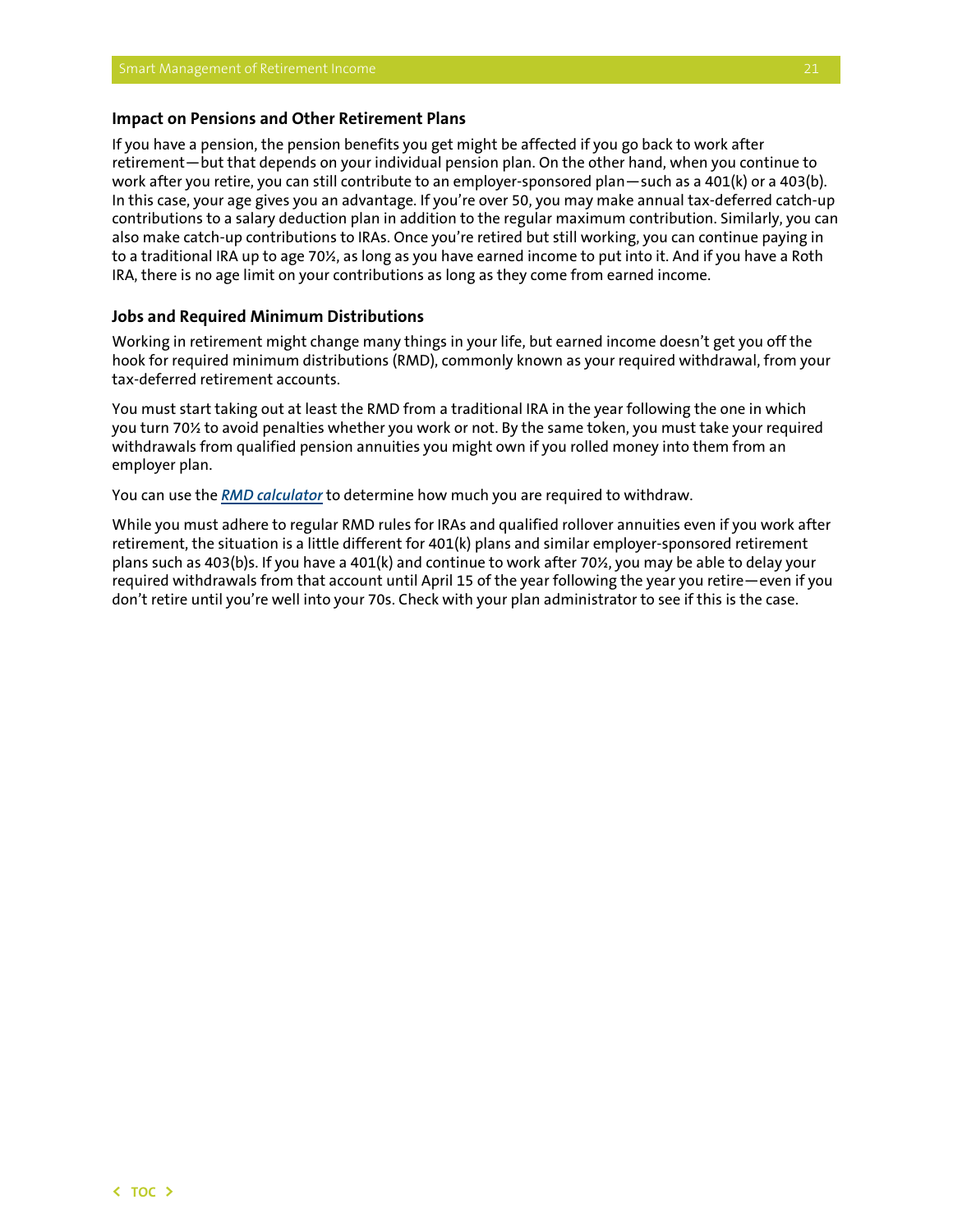#### <span id="page-22-0"></span>**Impact on Pensions and Other Retirement Plans**

If you have a pension, the pension benefits you get might be affected if you go back to work after retirement—but that depends on your individual pension plan. On the other hand, when you continue to work after you retire, you can still contribute to an employer-sponsored plan—such as a 401(k) or a 403(b). In this case, your age gives you an advantage. If you're over 50, you may make annual tax-deferred catch-up contributions to a salary deduction plan in addition to the regular maximum contribution. Similarly, you can also make catch-up contributions to IRAs. Once you're retired but still working, you can continue paying in to a traditional IRA up to age 70½, as long as you have earned income to put into it. And if you have a Roth IRA, there is no age limit on your contributions as long as they come from earned income.

#### **Jobs and Required Minimum Distributions**

Working in retirement might change many things in your life, but earned income doesn't get you off the hook for required minimum distributions (RMD), commonly known as your required withdrawal, from your tax-deferred retirement accounts.

You must start taking out at least the RMD from a traditional IRA in the year following the one in which you turn 70½ to avoid penalties whether you work or not. By the same token, you must take your required withdrawals from qualified pension annuities you might own if you rolled money into them from an employer plan.

You can use the *[RMD calculator](http://www.finra.org/rmdcalculator)* to determine how much you are required to withdraw.

While you must adhere to regular RMD rules for IRAs and qualified rollover annuities even if you work after retirement, the situation is a little different for 401(k) plans and similar employer-sponsored retirement plans such as 403(b)s. If you have a 401(k) and continue to work after 70½, you may be able to delay your required withdrawals from that account until April 15 of the year following the year you retire—even if you don't retire until you're well into your 70s. Check with your plan administrator to see if this is the case.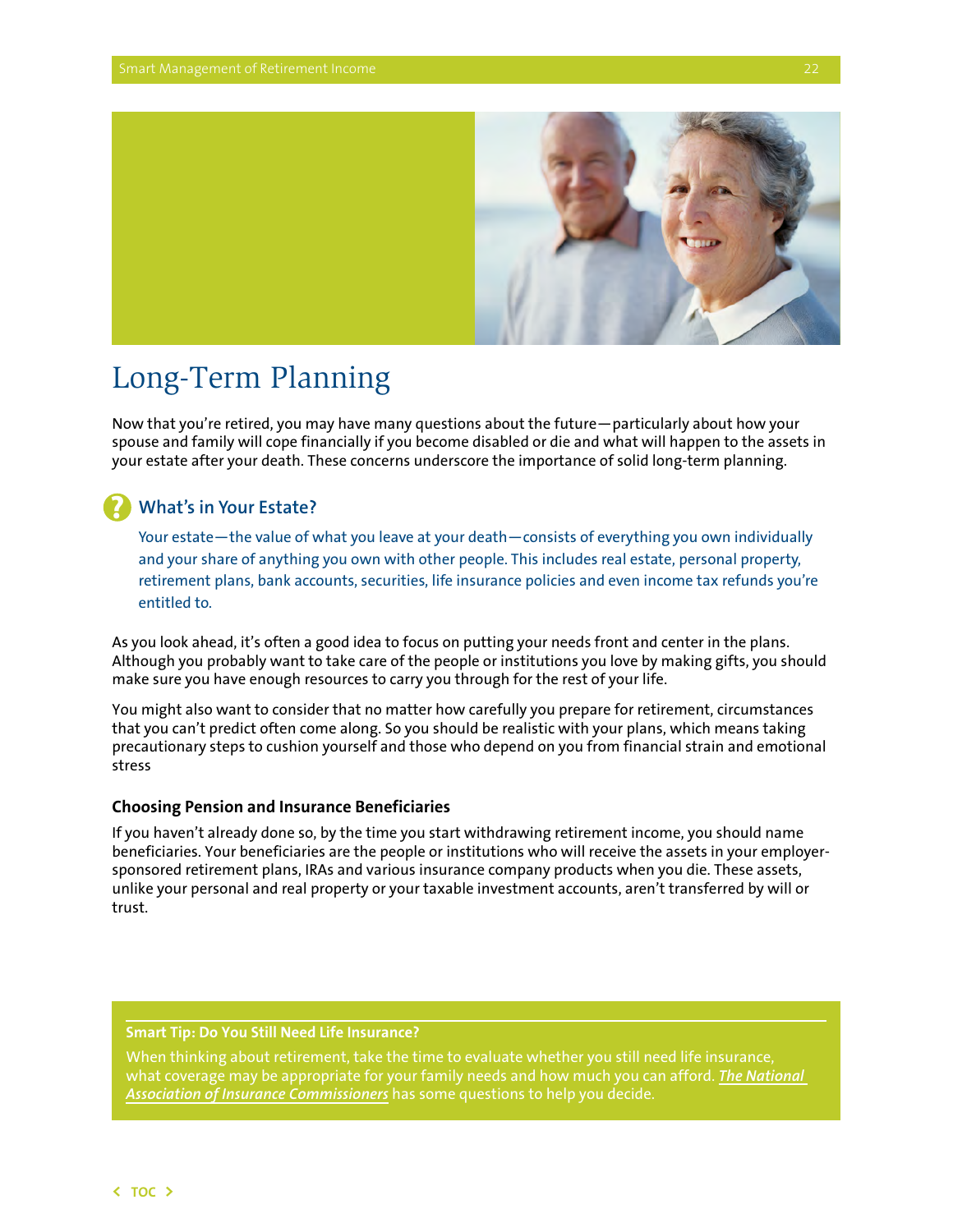

## <span id="page-23-0"></span>Long-Term Planning

Now that you're retired, you may have many questions about the future—particularly about how your spouse and family will cope financially if you become disabled or die and what will happen to the assets in your estate after your death. These concerns underscore the importance of solid long-term planning.

## **What's in Your Estate?**

**?**

Your estate—the value of what you leave at your death—consists of everything you own individually and your share of anything you own with other people. This includes real estate, personal property, retirement plans, bank accounts, securities, life insurance policies and even income tax refunds you're entitled to.

As you look ahead, it's often a good idea to focus on putting your needs front and center in the plans. Although you probably want to take care of the people or institutions you love by making gifts, you should make sure you have enough resources to carry you through for the rest of your life.

You might also want to consider that no matter how carefully you prepare for retirement, circumstances that you can't predict often come along. So you should be realistic with your plans, which means taking precautionary steps to cushion yourself and those who depend on you from financial strain and emotional stress

### **Choosing Pension and Insurance Beneficiaries**

If you haven't already done so, by the time you start withdrawing retirement income, you should name beneficiaries. Your beneficiaries are the people or institutions who will receive the assets in your employersponsored retirement plans, IRAs and various insurance company products when you die. These assets, unlike your personal and real property or your taxable investment accounts, aren't transferred by will or trust.

### **Smart Tip: Do You Still Need Life Insurance?**

When thinking about retirement, take the time to evaluate whether you still need life insurance, what coverage may be appropriate for your family needs and how much you can afford. *[The National](http://www.insureuonline.org/course_seniors.htm)  [Association of Insurance Commissioners](http://www.insureuonline.org/course_seniors.htm)* has some questions to help you decide.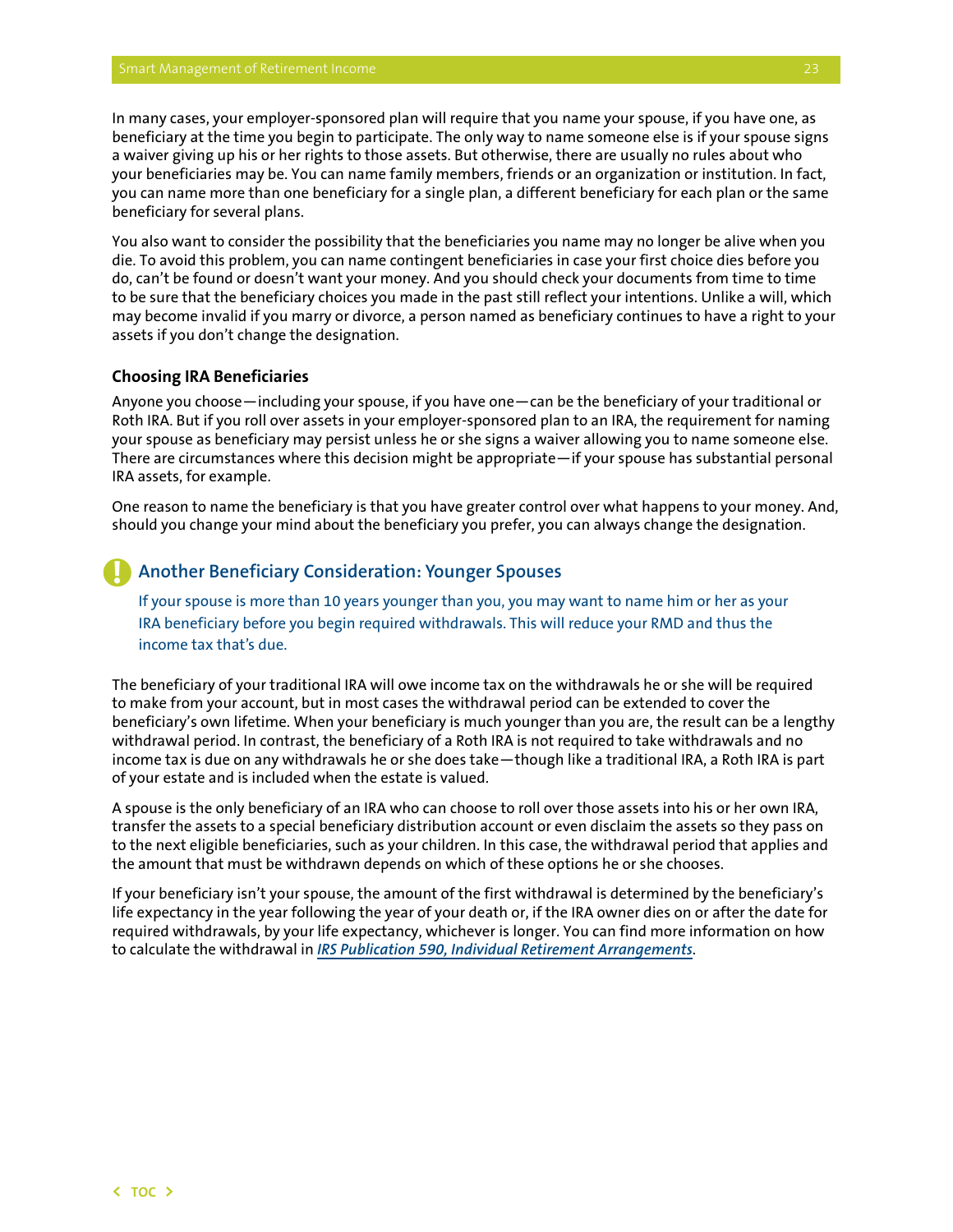<span id="page-24-0"></span>In many cases, your employer-sponsored plan will require that you name your spouse, if you have one, as beneficiary at the time you begin to participate. The only way to name someone else is if your spouse signs a waiver giving up his or her rights to those assets. But otherwise, there are usually no rules about who your beneficiaries may be. You can name family members, friends or an organization or institution. In fact, you can name more than one beneficiary for a single plan, a different beneficiary for each plan or the same beneficiary for several plans.

You also want to consider the possibility that the beneficiaries you name may no longer be alive when you die. To avoid this problem, you can name contingent beneficiaries in case your first choice dies before you do, can't be found or doesn't want your money. And you should check your documents from time to time to be sure that the beneficiary choices you made in the past still reflect your intentions. Unlike a will, which may become invalid if you marry or divorce, a person named as beneficiary continues to have a right to your assets if you don't change the designation.

#### **Choosing IRA Beneficiaries**

Anyone you choose—including your spouse, if you have one—can be the beneficiary of your traditional or Roth IRA. But if you roll over assets in your employer-sponsored plan to an IRA, the requirement for naming your spouse as beneficiary may persist unless he or she signs a waiver allowing you to name someone else. There are circumstances where this decision might be appropriate—if your spouse has substantial personal IRA assets, for example.

One reason to name the beneficiary is that you have greater control over what happens to your money. And, should you change your mind about the beneficiary you prefer, you can always change the designation.

#### **Another Beneficiary Consideration: Younger Spouses !**

If your spouse is more than 10 years younger than you, you may want to name him or her as your IRA beneficiary before you begin required withdrawals. This will reduce your RMD and thus the income tax that's due.

The beneficiary of your traditional IRA will owe income tax on the withdrawals he or she will be required to make from your account, but in most cases the withdrawal period can be extended to cover the beneficiary's own lifetime. When your beneficiary is much younger than you are, the result can be a lengthy withdrawal period. In contrast, the beneficiary of a Roth IRA is not required to take withdrawals and no income tax is due on any withdrawals he or she does take—though like a traditional IRA, a Roth IRA is part of your estate and is included when the estate is valued.

A spouse is the only beneficiary of an IRA who can choose to roll over those assets into his or her own IRA, transfer the assets to a special beneficiary distribution account or even disclaim the assets so they pass on to the next eligible beneficiaries, such as your children. In this case, the withdrawal period that applies and the amount that must be withdrawn depends on which of these options he or she chooses.

If your beneficiary isn't your spouse, the amount of the first withdrawal is determined by the beneficiary's life expectancy in the year following the year of your death or, if the IRA owner dies on or after the date for required withdrawals, by your life expectancy, whichever is longer. You can find more information on how to calculate the withdrawal in *[IRS Publication 590, Individual Retirement Arrangements](http://www.irs.gov/pub/irs-pdf/p590.pdf)*.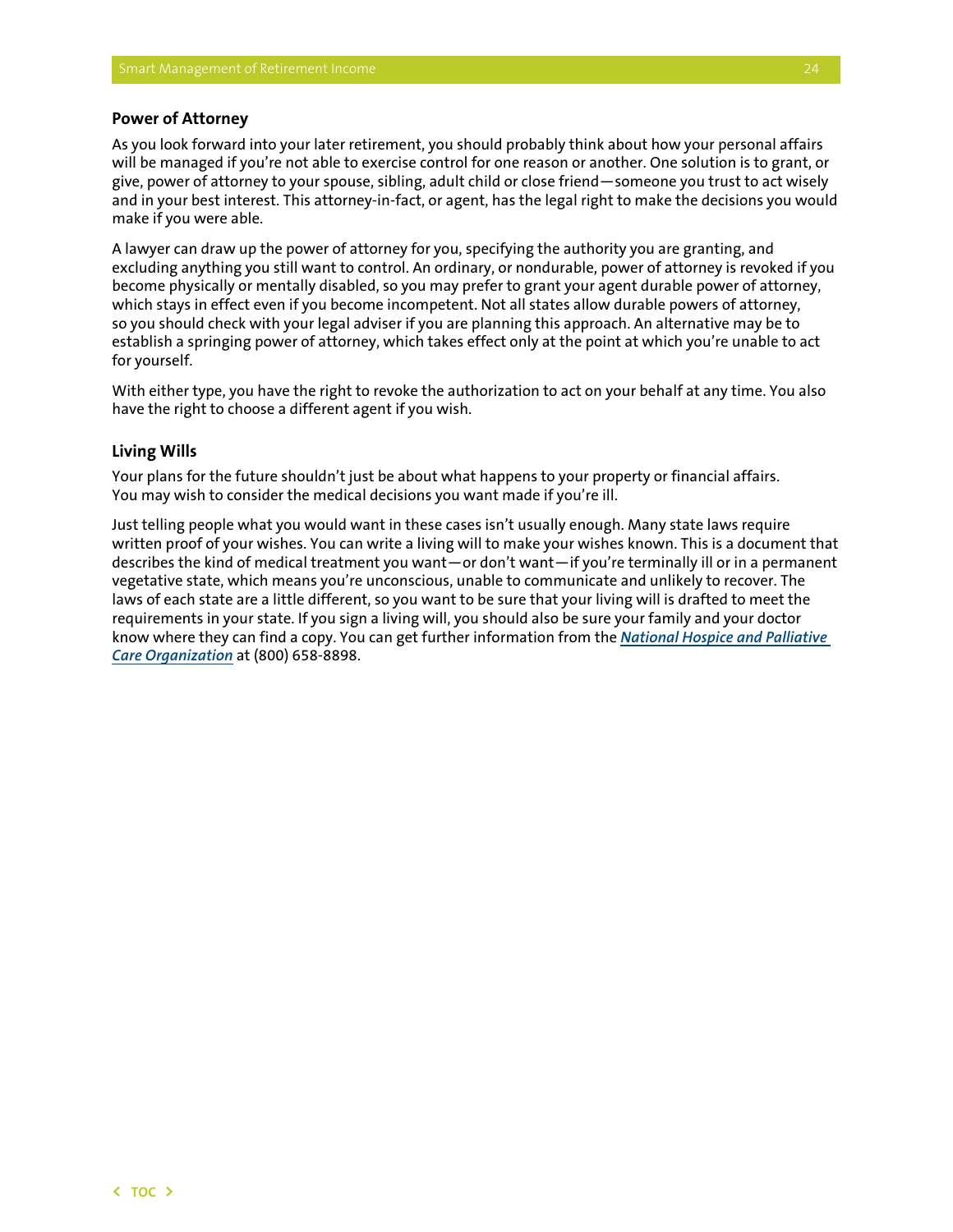#### <span id="page-25-0"></span>**Power of Attorney**

As you look forward into your later retirement, you should probably think about how your personal affairs will be managed if you're not able to exercise control for one reason or another. One solution is to grant, or give, power of attorney to your spouse, sibling, adult child or close friend—someone you trust to act wisely and in your best interest. This attorney-in-fact, or agent, has the legal right to make the decisions you would make if you were able.

A lawyer can draw up the power of attorney for you, specifying the authority you are granting, and excluding anything you still want to control. An ordinary, or nondurable, power of attorney is revoked if you become physically or mentally disabled, so you may prefer to grant your agent durable power of attorney, which stays in effect even if you become incompetent. Not all states allow durable powers of attorney, so you should check with your legal adviser if you are planning this approach. An alternative may be to establish a springing power of attorney, which takes effect only at the point at which you're unable to act for yourself.

With either type, you have the right to revoke the authorization to act on your behalf at any time. You also have the right to choose a different agent if you wish.

#### **Living Wills**

Your plans for the future shouldn't just be about what happens to your property or financial affairs. You may wish to consider the medical decisions you want made if you're ill.

Just telling people what you would want in these cases isn't usually enough. Many state laws require written proof of your wishes. You can write a living will to make your wishes known. This is a document that describes the kind of medical treatment you want—or don't want—if you're terminally ill or in a permanent vegetative state, which means you're unconscious, unable to communicate and unlikely to recover. The laws of each state are a little different, so you want to be sure that your living will is drafted to meet the requirements in your state. If you sign a living will, you should also be sure your family and your doctor know where they can find a copy. You can get further information from the *[National Hospice and Palliative](http://www.caringinfo.org/i4a/pages/index.cfm?pageid=1)  [Care Organization](http://www.caringinfo.org/i4a/pages/index.cfm?pageid=1)* at (800) 658-8898.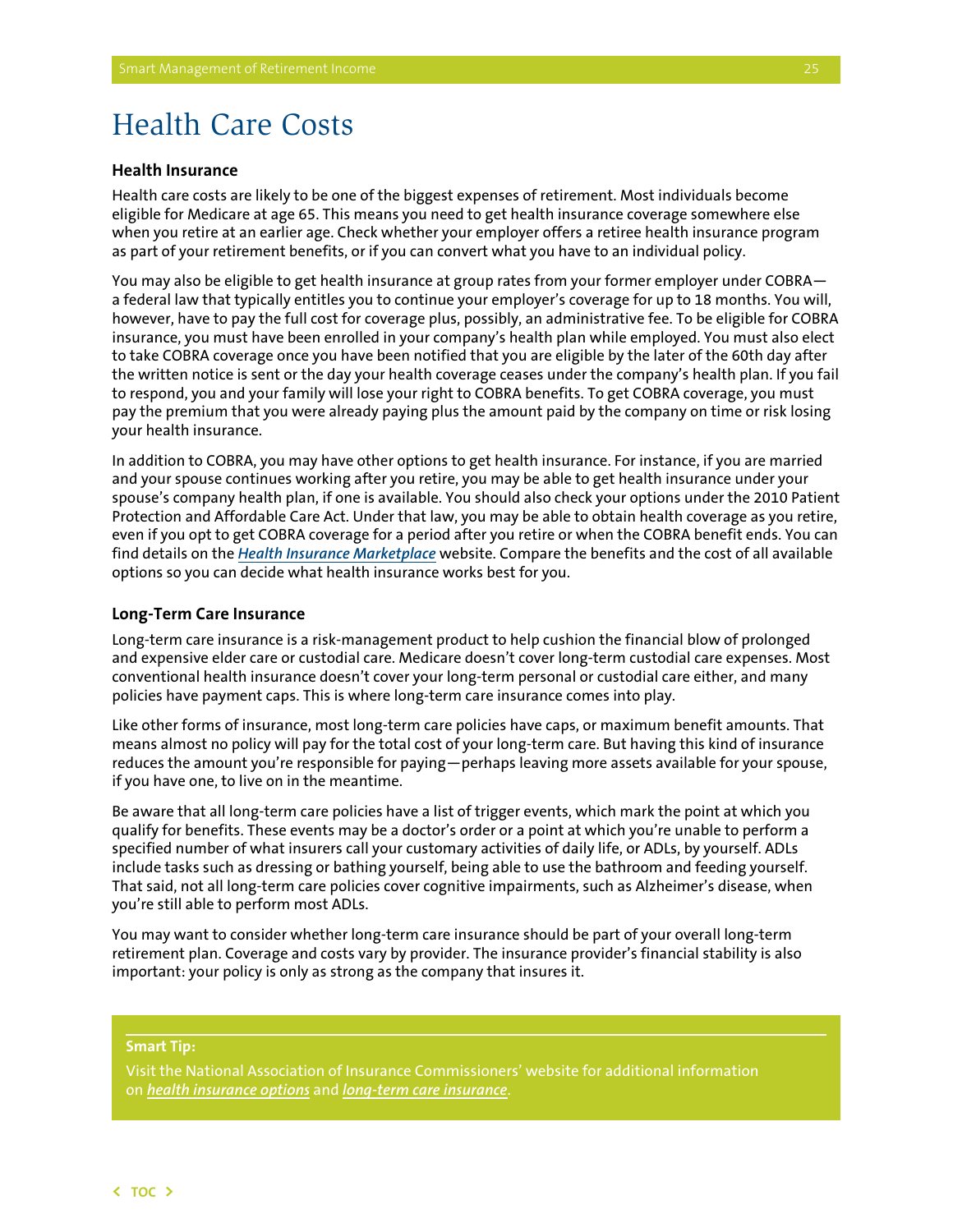## <span id="page-26-0"></span>Health Care Costs

### **Health Insurance**

Health care costs are likely to be one of the biggest expenses of retirement. Most individuals become eligible for Medicare at age 65. This means you need to get health insurance coverage somewhere else when you retire at an earlier age. Check whether your employer offers a retiree health insurance program as part of your retirement benefits, or if you can convert what you have to an individual policy.

You may also be eligible to get health insurance at group rates from your former employer under COBRA a federal law that typically entitles you to continue your employer's coverage for up to 18 months. You will, however, have to pay the full cost for coverage plus, possibly, an administrative fee. To be eligible for COBRA insurance, you must have been enrolled in your company's health plan while employed. You must also elect to take COBRA coverage once you have been notified that you are eligible by the later of the 60th day after the written notice is sent or the day your health coverage ceases under the company's health plan. If you fail to respond, you and your family will lose your right to COBRA benefits. To get COBRA coverage, you must pay the premium that you were already paying plus the amount paid by the company on time or risk losing your health insurance.

In addition to COBRA, you may have other options to get health insurance. For instance, if you are married and your spouse continues working after you retire, you may be able to get health insurance under your spouse's company health plan, if one is available. You should also check your options under the 2010 Patient Protection and Affordable Care Act. Under that law, you may be able to obtain health coverage as you retire, even if you opt to get COBRA coverage for a period after you retire or when the COBRA benefit ends. You can find details on the *[Health Insurance Marketplace](https://www.healthcare.gov/)* website. Compare the benefits and the cost of all available options so you can decide what health insurance works best for you.

#### **Long-Term Care Insurance**

Long-term care insurance is a risk-management product to help cushion the financial blow of prolonged and expensive elder care or custodial care. Medicare doesn't cover long-term custodial care expenses. Most conventional health insurance doesn't cover your long-term personal or custodial care either, and many policies have payment caps. This is where long-term care insurance comes into play.

Like other forms of insurance, most long-term care policies have caps, or maximum benefit amounts. That means almost no policy will pay for the total cost of your long-term care. But having this kind of insurance reduces the amount you're responsible for paying—perhaps leaving more assets available for your spouse, if you have one, to live on in the meantime.

Be aware that all long-term care policies have a list of trigger events, which mark the point at which you qualify for benefits. These events may be a doctor's order or a point at which you're unable to perform a specified number of what insurers call your customary activities of daily life, or ADLs, by yourself. ADLs include tasks such as dressing or bathing yourself, being able to use the bathroom and feeding yourself. That said, not all long-term care policies cover cognitive impairments, such as Alzheimer's disease, when you're still able to perform most ADLs.

You may want to consider whether long-term care insurance should be part of your overall long-term retirement plan. Coverage and costs vary by provider. The insurance provider's financial stability is also important: your policy is only as strong as the company that insures it.

#### **Smart Tip:**

on *[health insurance options](http://www.insureuonline.org/course_seniors.htm)* and *[long-term care insurance](http://www.naic.org/index_ltc_section.htm)*.